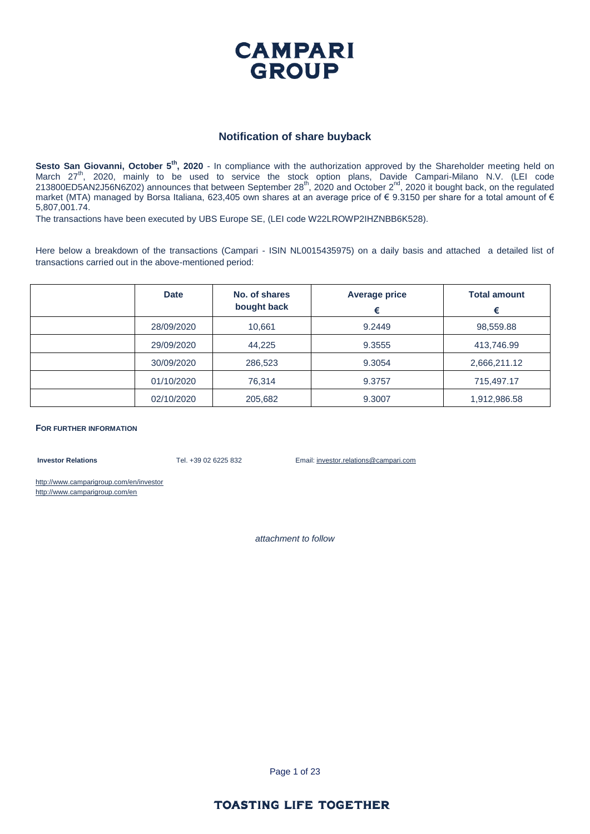

#### **Notification of share buyback**

Sesto San Giovanni, October 5<sup>th</sup>, 2020 - In compliance with the authorization approved by the Shareholder meeting held on March 27<sup>th</sup>, 2020, mainly to be used to service the stock option plans, Davide Campari-Milano N.V. (LEI code 213800ED5AN2J56N6Z02) announces that between September  $28^{th}$ , 2020 and October  $2^{nd}$ , 2020 it bought back, on the regulated market (MTA) managed by Borsa Italiana, 623,405 own shares at an average price of € 9.3150 per share for a total amount of € 5,807,001.74.

The transactions have been executed by UBS Europe SE, (LEI code W22LROWP2IHZNBB6K528).

Here below a breakdown of the transactions (Campari - ISIN NL0015435975) on a daily basis and attached a detailed list of transactions carried out in the above-mentioned period:

| <b>Date</b> | No. of shares<br>bought back | <b>Average price</b><br>€ | <b>Total amount</b><br>€ |
|-------------|------------------------------|---------------------------|--------------------------|
| 28/09/2020  | 10,661                       | 9.2449                    | 98,559.88                |
| 29/09/2020  | 44.225                       | 9.3555                    | 413,746.99               |
| 30/09/2020  | 286,523                      | 9.3054                    | 2,666,211.12             |
| 01/10/2020  | 76.314                       | 9.3757                    | 715,497.17               |
| 02/10/2020  | 205,682                      | 9.3007                    | 1,912,986.58             |

**FOR FURTHER INFORMATION**

**Investor Relations** Tel. +39 02 6225 832 Email: investor.relations@campari.com

http://www.camparigroup.com/en/investor http://www.camparigroup.com/en

*attachment to follow*

Page 1 of 23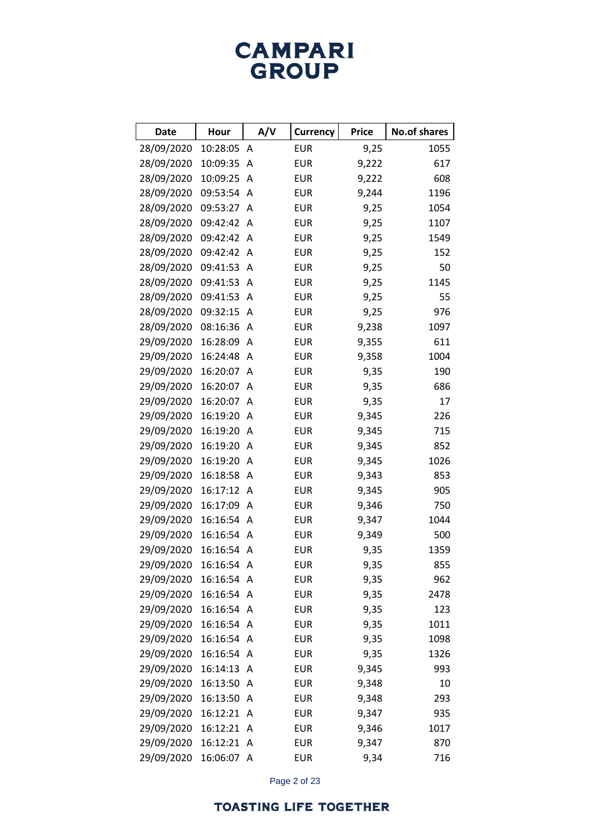# **CAMPARI**<br>GROUP

| <b>Date</b> | Hour       | A/V            | <b>Currency</b> | <b>Price</b> | <b>No.of shares</b> |
|-------------|------------|----------------|-----------------|--------------|---------------------|
| 28/09/2020  | 10:28:05   | A              | <b>EUR</b>      | 9,25         | 1055                |
| 28/09/2020  | 10:09:35   | A              | <b>EUR</b>      | 9,222        | 617                 |
| 28/09/2020  | 10:09:25   | A              | <b>EUR</b>      | 9,222        | 608                 |
| 28/09/2020  | 09:53:54   | A              | <b>EUR</b>      | 9,244        | 1196                |
| 28/09/2020  | 09:53:27   | Α              | <b>EUR</b>      | 9,25         | 1054                |
| 28/09/2020  | 09:42:42   | Α              | <b>EUR</b>      | 9,25         | 1107                |
| 28/09/2020  | 09:42:42   | Α              | <b>EUR</b>      | 9,25         | 1549                |
| 28/09/2020  | 09:42:42   | A              | <b>EUR</b>      | 9,25         | 152                 |
| 28/09/2020  | 09:41:53   | Α              | <b>EUR</b>      | 9,25         | 50                  |
| 28/09/2020  | 09:41:53   | A              | <b>EUR</b>      | 9,25         | 1145                |
| 28/09/2020  | 09:41:53   | A              | <b>EUR</b>      | 9,25         | 55                  |
| 28/09/2020  | 09:32:15   | A              | <b>EUR</b>      | 9,25         | 976                 |
| 28/09/2020  | 08:16:36   | Α              | <b>EUR</b>      | 9,238        | 1097                |
| 29/09/2020  | 16:28:09   | A              | <b>EUR</b>      | 9,355        | 611                 |
| 29/09/2020  | 16:24:48   | A              | <b>EUR</b>      | 9,358        | 1004                |
| 29/09/2020  | 16:20:07   | A              | <b>EUR</b>      | 9,35         | 190                 |
| 29/09/2020  | 16:20:07   | Α              | <b>EUR</b>      | 9,35         | 686                 |
| 29/09/2020  | 16:20:07   | A              | <b>EUR</b>      | 9,35         | 17                  |
| 29/09/2020  | 16:19:20   | A              | <b>EUR</b>      | 9,345        | 226                 |
| 29/09/2020  | 16:19:20   | A              | <b>EUR</b>      | 9,345        | 715                 |
| 29/09/2020  | 16:19:20   | Α              | <b>EUR</b>      | 9,345        | 852                 |
| 29/09/2020  | 16:19:20   | A              | <b>EUR</b>      | 9,345        | 1026                |
| 29/09/2020  | 16:18:58   | Α              | <b>EUR</b>      | 9,343        | 853                 |
| 29/09/2020  | 16:17:12   | Α              | <b>EUR</b>      | 9,345        | 905                 |
| 29/09/2020  | 16:17:09   | Α              | <b>EUR</b>      | 9,346        | 750                 |
| 29/09/2020  | 16:16:54   | Α              | <b>EUR</b>      | 9,347        | 1044                |
| 29/09/2020  | 16:16:54   | Α              | <b>EUR</b>      | 9,349        | 500                 |
| 29/09/2020  | 16:16:54   | Α              | <b>EUR</b>      | 9,35         | 1359                |
| 29/09/2020  | 16:16:54 A |                | EUR             | 9,35         | 855                 |
| 29/09/2020  | 16:16:54 A |                | <b>EUR</b>      | 9,35         | 962                 |
| 29/09/2020  | 16:16:54   | A              | <b>EUR</b>      | 9,35         | 2478                |
| 29/09/2020  | 16:16:54 A |                | <b>EUR</b>      | 9,35         | 123                 |
| 29/09/2020  | 16:16:54 A |                | <b>EUR</b>      | 9,35         | 1011                |
| 29/09/2020  | 16:16:54   | A              | <b>EUR</b>      | 9,35         | 1098                |
| 29/09/2020  | 16:16:54 A |                | <b>EUR</b>      | 9,35         | 1326                |
| 29/09/2020  | 16:14:13   | A              | <b>EUR</b>      | 9,345        | 993                 |
| 29/09/2020  | 16:13:50   | A              | <b>EUR</b>      | 9,348        | 10                  |
| 29/09/2020  | 16:13:50   | $\overline{A}$ | <b>EUR</b>      | 9,348        | 293                 |
| 29/09/2020  | 16:12:21   | $\mathsf{A}$   | <b>EUR</b>      | 9,347        | 935                 |
| 29/09/2020  | 16:12:21   | $\mathsf{A}$   | <b>EUR</b>      | 9,346        | 1017                |
| 29/09/2020  | 16:12:21   | $\mathsf{A}$   | <b>EUR</b>      | 9,347        | 870                 |
| 29/09/2020  | 16:06:07 A |                | <b>EUR</b>      | 9,34         | 716                 |

Page 2 of 23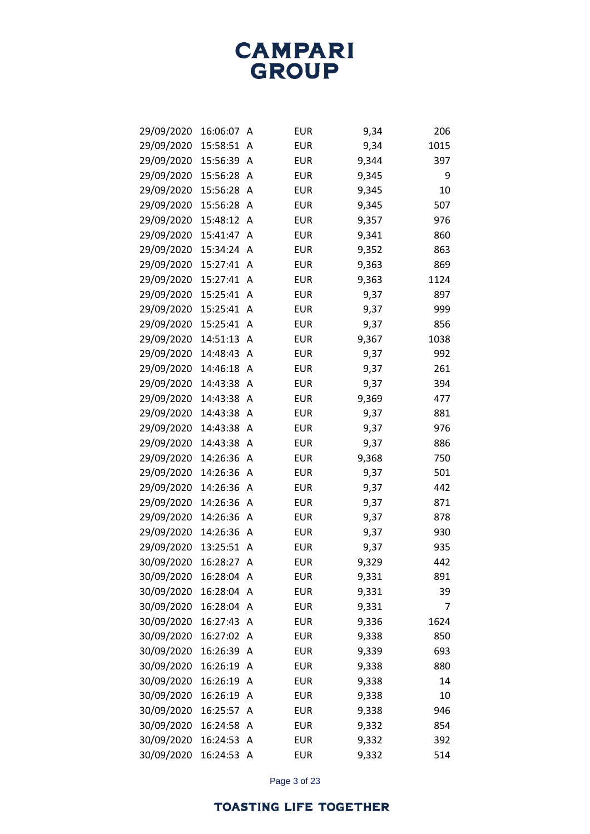| 29/09/2020 | 16:06:07 | Α | <b>EUR</b> | 9,34  | 206  |
|------------|----------|---|------------|-------|------|
| 29/09/2020 | 15:58:51 | Α | <b>EUR</b> | 9,34  | 1015 |
| 29/09/2020 | 15:56:39 | Α | <b>EUR</b> | 9,344 | 397  |
| 29/09/2020 | 15:56:28 | Α | <b>EUR</b> | 9,345 | 9    |
| 29/09/2020 | 15:56:28 | Α | <b>EUR</b> | 9,345 | 10   |
| 29/09/2020 | 15:56:28 | A | <b>EUR</b> | 9,345 | 507  |
| 29/09/2020 | 15:48:12 | Α | <b>EUR</b> | 9,357 | 976  |
| 29/09/2020 | 15:41:47 | A | <b>EUR</b> | 9,341 | 860  |
| 29/09/2020 | 15:34:24 | Α | <b>EUR</b> | 9,352 | 863  |
| 29/09/2020 | 15:27:41 | A | <b>EUR</b> | 9,363 | 869  |
| 29/09/2020 | 15:27:41 | Α | <b>EUR</b> | 9,363 | 1124 |
| 29/09/2020 | 15:25:41 | Α | <b>EUR</b> | 9,37  | 897  |
| 29/09/2020 | 15:25:41 | Α | <b>EUR</b> | 9,37  | 999  |
| 29/09/2020 | 15:25:41 | Α | <b>EUR</b> | 9,37  | 856  |
| 29/09/2020 | 14:51:13 | Α | <b>EUR</b> | 9,367 | 1038 |
| 29/09/2020 | 14:48:43 | Α | <b>EUR</b> | 9,37  | 992  |
| 29/09/2020 | 14:46:18 | Α | <b>EUR</b> | 9,37  | 261  |
| 29/09/2020 | 14:43:38 | Α | <b>EUR</b> | 9,37  | 394  |
| 29/09/2020 | 14:43:38 | Α | <b>EUR</b> | 9,369 | 477  |
| 29/09/2020 | 14:43:38 | Α | <b>EUR</b> | 9,37  | 881  |
| 29/09/2020 | 14:43:38 | Α | <b>EUR</b> | 9,37  | 976  |
| 29/09/2020 | 14:43:38 | Α | <b>EUR</b> | 9,37  | 886  |
| 29/09/2020 | 14:26:36 | Α | <b>EUR</b> | 9,368 | 750  |
| 29/09/2020 | 14:26:36 | Α | <b>EUR</b> | 9,37  | 501  |
| 29/09/2020 | 14:26:36 | Α | <b>EUR</b> | 9,37  | 442  |
| 29/09/2020 | 14:26:36 | Α | <b>EUR</b> | 9,37  | 871  |
| 29/09/2020 | 14:26:36 | Α | <b>EUR</b> | 9,37  | 878  |
| 29/09/2020 | 14:26:36 | Α | <b>EUR</b> | 9,37  | 930  |
| 29/09/2020 | 13:25:51 | Α | <b>EUR</b> | 9,37  | 935  |
| 30/09/2020 | 16:28:27 | Α | <b>EUR</b> | 9,329 | 442  |
| 30/09/2020 | 16:28:04 | A | <b>EUR</b> | 9,331 | 891  |
| 30/09/2020 | 16:28:04 | A | <b>EUR</b> | 9,331 | 39   |
| 30/09/2020 | 16:28:04 | A | <b>EUR</b> | 9,331 | 7    |
| 30/09/2020 | 16:27:43 | Α | <b>EUR</b> | 9,336 | 1624 |
| 30/09/2020 | 16:27:02 | Α | <b>EUR</b> | 9,338 | 850  |
| 30/09/2020 | 16:26:39 | A | <b>EUR</b> | 9,339 | 693  |
| 30/09/2020 | 16:26:19 | Α | <b>EUR</b> | 9,338 | 880  |
| 30/09/2020 | 16:26:19 | Α | <b>EUR</b> | 9,338 | 14   |
| 30/09/2020 | 16:26:19 | Α | <b>EUR</b> | 9,338 | 10   |
| 30/09/2020 | 16:25:57 | A | <b>EUR</b> | 9,338 | 946  |
| 30/09/2020 | 16:24:58 | Α | <b>EUR</b> | 9,332 | 854  |
| 30/09/2020 | 16:24:53 | Α | <b>EUR</b> | 9,332 | 392  |
| 30/09/2020 | 16:24:53 | A | <b>EUR</b> | 9,332 | 514  |

Page 3 of 23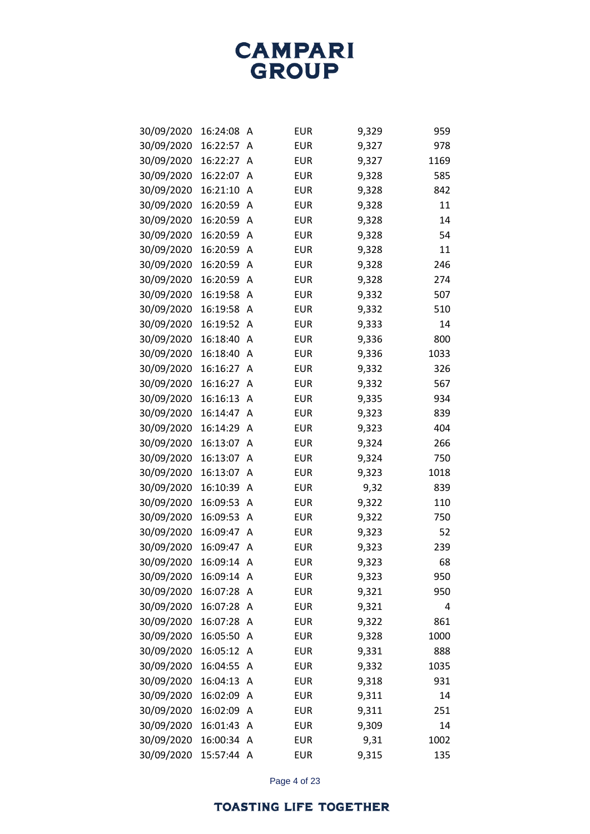| 30/09/2020 | 16:24:08   | Α | <b>EUR</b> | 9,329 | 959  |
|------------|------------|---|------------|-------|------|
| 30/09/2020 | 16:22:57   | Α | <b>EUR</b> | 9,327 | 978  |
| 30/09/2020 | 16:22:27   | Α | <b>EUR</b> | 9,327 | 1169 |
| 30/09/2020 | 16:22:07   | Α | <b>EUR</b> | 9,328 | 585  |
| 30/09/2020 | 16:21:10   | Α | <b>EUR</b> | 9,328 | 842  |
| 30/09/2020 | 16:20:59   | Α | <b>EUR</b> | 9,328 | 11   |
| 30/09/2020 | 16:20:59   | Α | <b>EUR</b> | 9,328 | 14   |
| 30/09/2020 | 16:20:59   | Α | <b>EUR</b> | 9,328 | 54   |
| 30/09/2020 | 16:20:59   | Α | <b>EUR</b> | 9,328 | 11   |
| 30/09/2020 | 16:20:59   | Α | <b>EUR</b> | 9,328 | 246  |
| 30/09/2020 | 16:20:59   | Α | <b>EUR</b> | 9,328 | 274  |
| 30/09/2020 | 16:19:58   | Α | <b>EUR</b> | 9,332 | 507  |
| 30/09/2020 | 16:19:58   | Α | <b>EUR</b> | 9,332 | 510  |
| 30/09/2020 | 16:19:52   | Α | <b>EUR</b> | 9,333 | 14   |
| 30/09/2020 | 16:18:40   | Α | <b>EUR</b> | 9,336 | 800  |
| 30/09/2020 | 16:18:40   | Α | <b>EUR</b> | 9,336 | 1033 |
| 30/09/2020 | 16:16:27   | Α | <b>EUR</b> | 9,332 | 326  |
| 30/09/2020 | 16:16:27   | Α | <b>EUR</b> | 9,332 | 567  |
| 30/09/2020 | 16:16:13   | Α | <b>EUR</b> | 9,335 | 934  |
| 30/09/2020 | 16:14:47   | Α | <b>EUR</b> | 9,323 | 839  |
| 30/09/2020 | 16:14:29   | Α | <b>EUR</b> | 9,323 | 404  |
| 30/09/2020 | 16:13:07   | A | <b>EUR</b> | 9,324 | 266  |
| 30/09/2020 | 16:13:07   | Α | <b>EUR</b> | 9,324 | 750  |
| 30/09/2020 | 16:13:07   | Α | <b>EUR</b> | 9,323 | 1018 |
| 30/09/2020 | 16:10:39   | Α | <b>EUR</b> | 9,32  | 839  |
| 30/09/2020 | 16:09:53   | Α | <b>EUR</b> | 9,322 | 110  |
| 30/09/2020 | 16:09:53   | Α | <b>EUR</b> | 9,322 | 750  |
| 30/09/2020 | 16:09:47   | Α | <b>EUR</b> | 9,323 | 52   |
| 30/09/2020 | 16:09:47   | Α | <b>EUR</b> | 9,323 | 239  |
| 30/09/2020 | 16:09:14   | Α | <b>EUR</b> | 9,323 | 68   |
| 30/09/2020 | 16:09:14   | Α | <b>EUR</b> | 9,323 | 950  |
| 30/09/2020 | 16:07:28   | Α | <b>EUR</b> | 9,321 | 950  |
| 30/09/2020 | 16:07:28   | Α | <b>EUR</b> | 9,321 | 4    |
| 30/09/2020 | 16:07:28   | Α | <b>EUR</b> | 9,322 | 861  |
| 30/09/2020 | 16:05:50   | Α | <b>EUR</b> | 9,328 | 1000 |
| 30/09/2020 | 16:05:12   | A | <b>EUR</b> | 9,331 | 888  |
| 30/09/2020 | 16:04:55   | Α | <b>EUR</b> | 9,332 | 1035 |
| 30/09/2020 | 16:04:13   | Α | <b>EUR</b> | 9,318 | 931  |
| 30/09/2020 | 16:02:09   | Α | <b>EUR</b> | 9,311 | 14   |
| 30/09/2020 | 16:02:09   | A | <b>EUR</b> | 9,311 | 251  |
| 30/09/2020 | 16:01:43   | A | <b>EUR</b> | 9,309 | 14   |
| 30/09/2020 | 16:00:34   | Α | <b>EUR</b> | 9,31  | 1002 |
| 30/09/2020 | 15:57:44 A |   | EUR        | 9,315 | 135  |

Page 4 of 23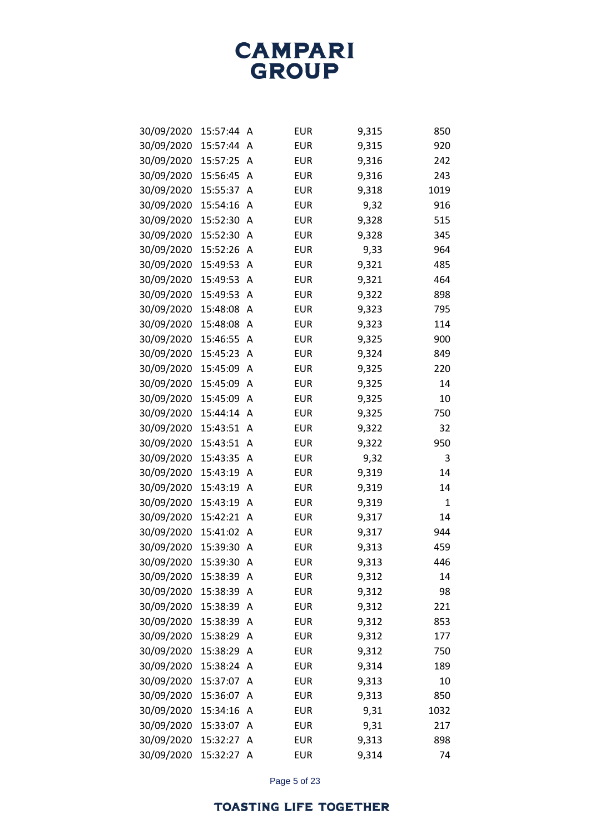| 30/09/2020 | 15:57:44 | Α | <b>EUR</b> | 9,315 | 850  |
|------------|----------|---|------------|-------|------|
| 30/09/2020 | 15:57:44 | Α | <b>EUR</b> | 9,315 | 920  |
| 30/09/2020 | 15:57:25 | Α | <b>EUR</b> | 9,316 | 242  |
| 30/09/2020 | 15:56:45 | Α | <b>EUR</b> | 9,316 | 243  |
| 30/09/2020 | 15:55:37 | Α | <b>EUR</b> | 9,318 | 1019 |
| 30/09/2020 | 15:54:16 | A | <b>EUR</b> | 9,32  | 916  |
| 30/09/2020 | 15:52:30 | Α | <b>EUR</b> | 9,328 | 515  |
| 30/09/2020 | 15:52:30 | A | <b>EUR</b> | 9,328 | 345  |
| 30/09/2020 | 15:52:26 | Α | <b>EUR</b> | 9,33  | 964  |
| 30/09/2020 | 15:49:53 | A | <b>EUR</b> | 9,321 | 485  |
| 30/09/2020 | 15:49:53 | Α | <b>EUR</b> | 9,321 | 464  |
| 30/09/2020 | 15:49:53 | Α | <b>EUR</b> | 9,322 | 898  |
| 30/09/2020 | 15:48:08 | Α | <b>EUR</b> | 9,323 | 795  |
| 30/09/2020 | 15:48:08 | A | <b>EUR</b> | 9,323 | 114  |
| 30/09/2020 | 15:46:55 | Α | <b>EUR</b> | 9,325 | 900  |
| 30/09/2020 | 15:45:23 | Α | <b>EUR</b> | 9,324 | 849  |
| 30/09/2020 | 15:45:09 | A | <b>EUR</b> | 9,325 | 220  |
| 30/09/2020 | 15:45:09 | A | <b>EUR</b> | 9,325 | 14   |
| 30/09/2020 | 15:45:09 | Α | <b>EUR</b> | 9,325 | 10   |
| 30/09/2020 | 15:44:14 | Α | <b>EUR</b> | 9,325 | 750  |
| 30/09/2020 | 15:43:51 | Α | <b>EUR</b> | 9,322 | 32   |
| 30/09/2020 | 15:43:51 | Α | <b>EUR</b> | 9,322 | 950  |
| 30/09/2020 | 15:43:35 | Α | <b>EUR</b> | 9,32  | 3    |
| 30/09/2020 | 15:43:19 | Α | <b>EUR</b> | 9,319 | 14   |
| 30/09/2020 | 15:43:19 | Α | <b>EUR</b> | 9,319 | 14   |
| 30/09/2020 | 15:43:19 | A | <b>EUR</b> | 9,319 | 1    |
| 30/09/2020 | 15:42:21 | Α | <b>EUR</b> | 9,317 | 14   |
| 30/09/2020 | 15:41:02 | Α | <b>EUR</b> | 9,317 | 944  |
| 30/09/2020 | 15:39:30 | Α | <b>EUR</b> | 9,313 | 459  |
| 30/09/2020 | 15:39:30 | Α | <b>EUR</b> | 9,313 | 446  |
| 30/09/2020 | 15:38:39 | A | <b>EUR</b> | 9,312 | 14   |
| 30/09/2020 | 15:38:39 | A | <b>EUR</b> | 9,312 | 98   |
| 30/09/2020 | 15:38:39 | Α | <b>EUR</b> | 9,312 | 221  |
| 30/09/2020 | 15:38:39 | Α | <b>EUR</b> | 9,312 | 853  |
| 30/09/2020 | 15:38:29 | Α | <b>EUR</b> | 9,312 | 177  |
| 30/09/2020 | 15:38:29 | A | <b>EUR</b> | 9,312 | 750  |
| 30/09/2020 | 15:38:24 | Α | <b>EUR</b> | 9,314 | 189  |
| 30/09/2020 | 15:37:07 | Α | <b>EUR</b> | 9,313 | 10   |
| 30/09/2020 | 15:36:07 | Α | <b>EUR</b> | 9,313 | 850  |
| 30/09/2020 | 15:34:16 | Α | <b>EUR</b> | 9,31  | 1032 |
| 30/09/2020 | 15:33:07 | Α | <b>EUR</b> | 9,31  | 217  |
| 30/09/2020 | 15:32:27 | Α | <b>EUR</b> | 9,313 | 898  |
| 30/09/2020 | 15:32:27 | Α | <b>EUR</b> | 9,314 | 74   |

Page 5 of 23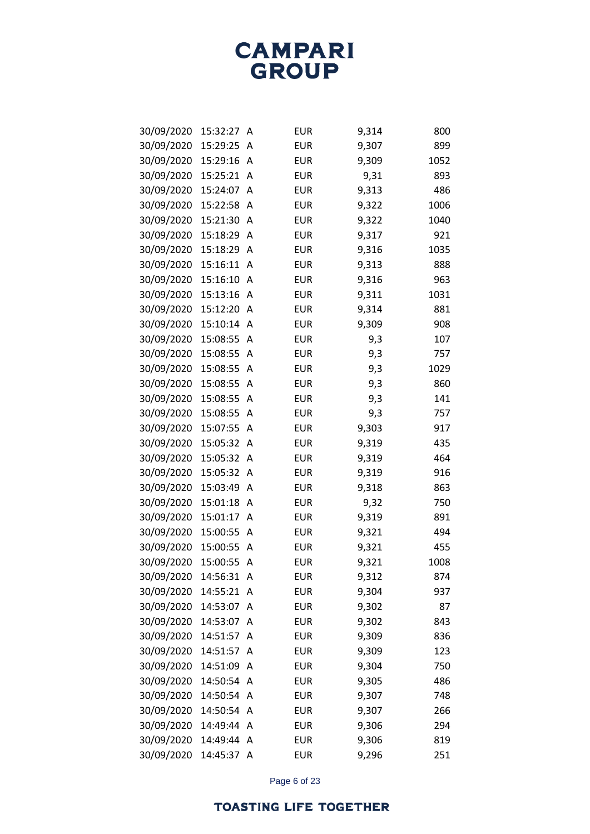| 30/09/2020 | 15:32:27 | Α | <b>EUR</b> | 9,314 | 800  |
|------------|----------|---|------------|-------|------|
| 30/09/2020 | 15:29:25 | Α | <b>EUR</b> | 9,307 | 899  |
| 30/09/2020 | 15:29:16 | Α | <b>EUR</b> | 9,309 | 1052 |
| 30/09/2020 | 15:25:21 | Α | <b>EUR</b> | 9,31  | 893  |
| 30/09/2020 | 15:24:07 | Α | <b>EUR</b> | 9,313 | 486  |
| 30/09/2020 | 15:22:58 | Α | <b>EUR</b> | 9,322 | 1006 |
| 30/09/2020 | 15:21:30 | Α | <b>EUR</b> | 9,322 | 1040 |
| 30/09/2020 | 15:18:29 | Α | <b>EUR</b> | 9,317 | 921  |
| 30/09/2020 | 15:18:29 | Α | <b>EUR</b> | 9,316 | 1035 |
| 30/09/2020 | 15:16:11 | Α | <b>EUR</b> | 9,313 | 888  |
| 30/09/2020 | 15:16:10 | Α | <b>EUR</b> | 9,316 | 963  |
| 30/09/2020 | 15:13:16 | Α | <b>EUR</b> | 9,311 | 1031 |
| 30/09/2020 | 15:12:20 | Α | <b>EUR</b> | 9,314 | 881  |
| 30/09/2020 | 15:10:14 | Α | <b>EUR</b> | 9,309 | 908  |
| 30/09/2020 | 15:08:55 | Α | <b>EUR</b> | 9,3   | 107  |
| 30/09/2020 | 15:08:55 | Α | <b>EUR</b> | 9,3   | 757  |
| 30/09/2020 | 15:08:55 | Α | <b>EUR</b> | 9,3   | 1029 |
| 30/09/2020 | 15:08:55 | A | <b>EUR</b> | 9,3   | 860  |
| 30/09/2020 | 15:08:55 | Α | <b>EUR</b> | 9,3   | 141  |
| 30/09/2020 | 15:08:55 | Α | <b>EUR</b> | 9,3   | 757  |
| 30/09/2020 | 15:07:55 | Α | <b>EUR</b> | 9,303 | 917  |
| 30/09/2020 | 15:05:32 | Α | <b>EUR</b> | 9,319 | 435  |
| 30/09/2020 | 15:05:32 | Α | <b>EUR</b> | 9,319 | 464  |
| 30/09/2020 | 15:05:32 | Α | <b>EUR</b> | 9,319 | 916  |
| 30/09/2020 | 15:03:49 | Α | <b>EUR</b> | 9,318 | 863  |
| 30/09/2020 | 15:01:18 | Α | <b>EUR</b> | 9,32  | 750  |
| 30/09/2020 | 15:01:17 | Α | <b>EUR</b> | 9,319 | 891  |
| 30/09/2020 | 15:00:55 | Α | <b>EUR</b> | 9,321 | 494  |
| 30/09/2020 | 15:00:55 | Α | <b>EUR</b> | 9,321 | 455  |
| 30/09/2020 | 15:00:55 | Α | <b>EUR</b> | 9,321 | 1008 |
| 30/09/2020 | 14:56:31 | Α | <b>EUR</b> | 9,312 | 874  |
| 30/09/2020 | 14:55:21 | A | <b>EUR</b> | 9,304 | 937  |
| 30/09/2020 | 14:53:07 | Α | <b>EUR</b> | 9,302 | 87   |
| 30/09/2020 | 14:53:07 | Α | <b>EUR</b> | 9,302 | 843  |
| 30/09/2020 | 14:51:57 | Α | <b>EUR</b> | 9,309 | 836  |
| 30/09/2020 | 14:51:57 | A | <b>EUR</b> | 9,309 | 123  |
| 30/09/2020 | 14:51:09 | Α | <b>EUR</b> | 9,304 | 750  |
| 30/09/2020 | 14:50:54 | Α | <b>EUR</b> | 9,305 | 486  |
| 30/09/2020 | 14:50:54 | Α | <b>EUR</b> | 9,307 | 748  |
| 30/09/2020 | 14:50:54 | A | <b>EUR</b> | 9,307 | 266  |
| 30/09/2020 | 14:49:44 | Α | <b>EUR</b> | 9,306 | 294  |
| 30/09/2020 | 14:49:44 | Α | <b>EUR</b> | 9,306 | 819  |
| 30/09/2020 | 14:45:37 | Α | <b>EUR</b> | 9,296 | 251  |

Page 6 of 23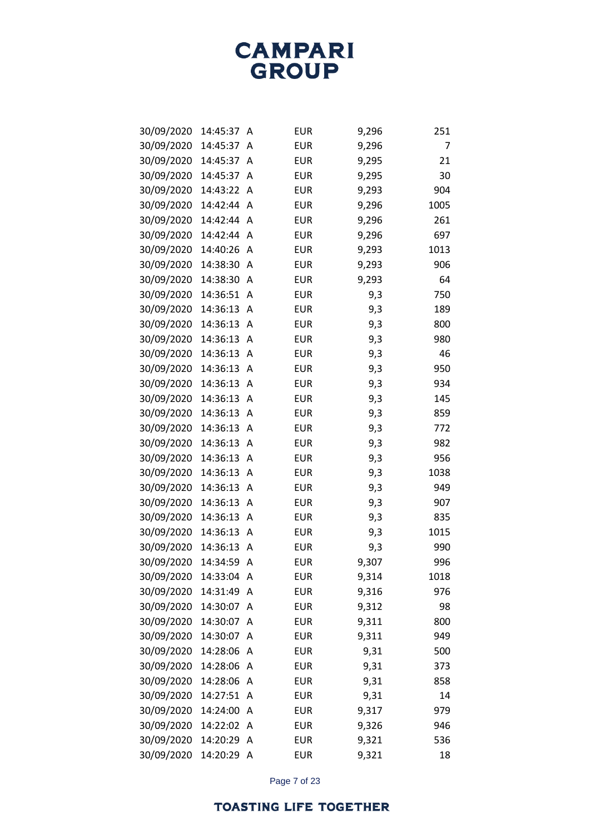| 30/09/2020 | 14:45:37 | Α | <b>EUR</b> | 9,296 | 251  |
|------------|----------|---|------------|-------|------|
| 30/09/2020 | 14:45:37 | A | <b>EUR</b> | 9,296 | 7    |
| 30/09/2020 | 14:45:37 | Α | <b>EUR</b> | 9,295 | 21   |
| 30/09/2020 | 14:45:37 | Α | <b>EUR</b> | 9,295 | 30   |
| 30/09/2020 | 14:43:22 | Α | <b>EUR</b> | 9,293 | 904  |
| 30/09/2020 | 14:42:44 | A | <b>EUR</b> | 9,296 | 1005 |
| 30/09/2020 | 14:42:44 | A | <b>EUR</b> | 9,296 | 261  |
| 30/09/2020 | 14:42:44 | Α | <b>EUR</b> | 9,296 | 697  |
| 30/09/2020 | 14:40:26 | Α | <b>EUR</b> | 9,293 | 1013 |
| 30/09/2020 | 14:38:30 | Α | <b>EUR</b> | 9,293 | 906  |
| 30/09/2020 | 14:38:30 | Α | <b>EUR</b> | 9,293 | 64   |
| 30/09/2020 | 14:36:51 | Α | <b>EUR</b> | 9,3   | 750  |
| 30/09/2020 | 14:36:13 | Α | <b>EUR</b> | 9,3   | 189  |
| 30/09/2020 | 14:36:13 | Α | <b>EUR</b> | 9,3   | 800  |
| 30/09/2020 | 14:36:13 | Α | <b>EUR</b> | 9,3   | 980  |
| 30/09/2020 | 14:36:13 | Α | <b>EUR</b> | 9,3   | 46   |
| 30/09/2020 | 14:36:13 | Α | <b>EUR</b> | 9,3   | 950  |
| 30/09/2020 | 14:36:13 | Α | <b>EUR</b> | 9,3   | 934  |
| 30/09/2020 | 14:36:13 | Α | <b>EUR</b> | 9,3   | 145  |
| 30/09/2020 | 14:36:13 | Α | <b>EUR</b> | 9,3   | 859  |
| 30/09/2020 | 14:36:13 | Α | <b>EUR</b> | 9,3   | 772  |
| 30/09/2020 | 14:36:13 | Α | <b>EUR</b> | 9,3   | 982  |
| 30/09/2020 | 14:36:13 | Α | <b>EUR</b> | 9,3   | 956  |
| 30/09/2020 | 14:36:13 | Α | <b>EUR</b> | 9,3   | 1038 |
| 30/09/2020 | 14:36:13 | Α | <b>EUR</b> | 9,3   | 949  |
| 30/09/2020 | 14:36:13 | Α | <b>EUR</b> | 9,3   | 907  |
| 30/09/2020 | 14:36:13 | Α | <b>EUR</b> | 9,3   | 835  |
| 30/09/2020 | 14:36:13 | Α | <b>EUR</b> | 9,3   | 1015 |
| 30/09/2020 | 14:36:13 | Α | <b>EUR</b> | 9,3   | 990  |
| 30/09/2020 | 14:34:59 | Α | <b>EUR</b> | 9,307 | 996  |
| 30/09/2020 | 14:33:04 | A | <b>EUR</b> | 9,314 | 1018 |
| 30/09/2020 | 14:31:49 | A | <b>EUR</b> | 9,316 | 976  |
| 30/09/2020 | 14:30:07 | Α | <b>EUR</b> | 9,312 | 98   |
| 30/09/2020 | 14:30:07 | Α | <b>EUR</b> | 9,311 | 800  |
| 30/09/2020 | 14:30:07 | Α | <b>EUR</b> | 9,311 | 949  |
| 30/09/2020 | 14:28:06 | A | <b>EUR</b> | 9,31  | 500  |
| 30/09/2020 | 14:28:06 | Α | <b>EUR</b> | 9,31  | 373  |
| 30/09/2020 | 14:28:06 | Α | <b>EUR</b> | 9,31  | 858  |
| 30/09/2020 | 14:27:51 | Α | <b>EUR</b> | 9,31  | 14   |
| 30/09/2020 | 14:24:00 | A | <b>EUR</b> | 9,317 | 979  |
| 30/09/2020 | 14:22:02 | Α | <b>EUR</b> | 9,326 | 946  |
| 30/09/2020 | 14:20:29 | Α | <b>EUR</b> | 9,321 | 536  |
| 30/09/2020 | 14:20:29 | A | <b>EUR</b> | 9,321 | 18   |

Page 7 of 23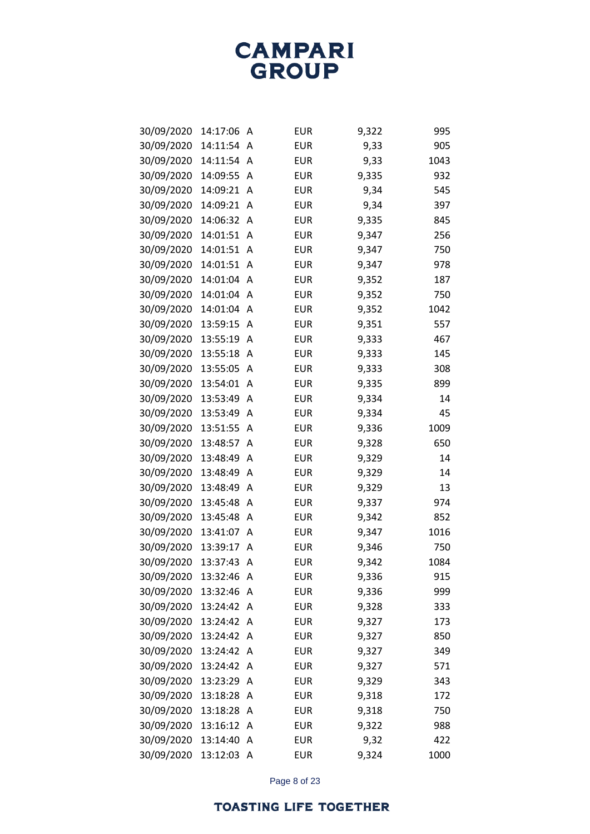| 30/09/2020 | 14:17:06 | А | <b>EUR</b> | 9,322 | 995  |
|------------|----------|---|------------|-------|------|
| 30/09/2020 | 14:11:54 | A | <b>EUR</b> | 9,33  | 905  |
| 30/09/2020 | 14:11:54 | A | <b>EUR</b> | 9,33  | 1043 |
| 30/09/2020 | 14:09:55 | Α | <b>EUR</b> | 9,335 | 932  |
| 30/09/2020 | 14:09:21 | Α | <b>EUR</b> | 9,34  | 545  |
| 30/09/2020 | 14:09:21 | Α | <b>EUR</b> | 9,34  | 397  |
| 30/09/2020 | 14:06:32 | Α | <b>EUR</b> | 9,335 | 845  |
| 30/09/2020 | 14:01:51 | Α | <b>EUR</b> | 9,347 | 256  |
| 30/09/2020 | 14:01:51 | Α | <b>EUR</b> | 9,347 | 750  |
| 30/09/2020 | 14:01:51 | Α | <b>EUR</b> | 9,347 | 978  |
| 30/09/2020 | 14:01:04 | Α | <b>EUR</b> | 9,352 | 187  |
| 30/09/2020 | 14:01:04 | Α | <b>EUR</b> | 9,352 | 750  |
| 30/09/2020 | 14:01:04 | Α | <b>EUR</b> | 9,352 | 1042 |
| 30/09/2020 | 13:59:15 | Α | <b>EUR</b> | 9,351 | 557  |
| 30/09/2020 | 13:55:19 | Α | <b>EUR</b> | 9,333 | 467  |
| 30/09/2020 | 13:55:18 | Α | <b>EUR</b> | 9,333 | 145  |
| 30/09/2020 | 13:55:05 | Α | <b>EUR</b> | 9,333 | 308  |
| 30/09/2020 | 13:54:01 | Α | <b>EUR</b> | 9,335 | 899  |
| 30/09/2020 | 13:53:49 | Α | <b>EUR</b> | 9,334 | 14   |
| 30/09/2020 | 13:53:49 | Α | <b>EUR</b> | 9,334 | 45   |
| 30/09/2020 | 13:51:55 | Α | <b>EUR</b> | 9,336 | 1009 |
| 30/09/2020 | 13:48:57 | Α | <b>EUR</b> | 9,328 | 650  |
| 30/09/2020 | 13:48:49 | Α | <b>EUR</b> | 9,329 | 14   |
| 30/09/2020 | 13:48:49 | Α | <b>EUR</b> | 9,329 | 14   |
| 30/09/2020 | 13:48:49 | Α | <b>EUR</b> | 9,329 | 13   |
| 30/09/2020 | 13:45:48 | Α | <b>EUR</b> | 9,337 | 974  |
| 30/09/2020 | 13:45:48 | Α | <b>EUR</b> | 9,342 | 852  |
| 30/09/2020 | 13:41:07 | Α | <b>EUR</b> | 9,347 | 1016 |
| 30/09/2020 | 13:39:17 | Α | <b>EUR</b> | 9,346 | 750  |
| 30/09/2020 | 13:37:43 | Α | <b>EUR</b> | 9,342 | 1084 |
| 30/09/2020 | 13:32:46 | Α | <b>EUR</b> | 9,336 | 915  |
| 30/09/2020 | 13:32:46 | Α | <b>EUR</b> | 9,336 | 999  |
| 30/09/2020 | 13:24:42 | Α | <b>EUR</b> | 9,328 | 333  |
| 30/09/2020 | 13:24:42 | Α | <b>EUR</b> | 9,327 | 173  |
| 30/09/2020 | 13:24:42 | Α | <b>EUR</b> | 9,327 | 850  |
| 30/09/2020 | 13:24:42 | Α | <b>EUR</b> | 9,327 | 349  |
| 30/09/2020 | 13:24:42 | Α | <b>EUR</b> | 9,327 | 571  |
| 30/09/2020 | 13:23:29 | Α | <b>EUR</b> | 9,329 | 343  |
| 30/09/2020 | 13:18:28 | A | <b>EUR</b> | 9,318 | 172  |
| 30/09/2020 | 13:18:28 | Α | <b>EUR</b> | 9,318 | 750  |
| 30/09/2020 | 13:16:12 | Α | <b>EUR</b> | 9,322 | 988  |
| 30/09/2020 | 13:14:40 | Α | <b>EUR</b> | 9,32  | 422  |
| 30/09/2020 | 13:12:03 | A | <b>EUR</b> | 9,324 | 1000 |

Page 8 of 23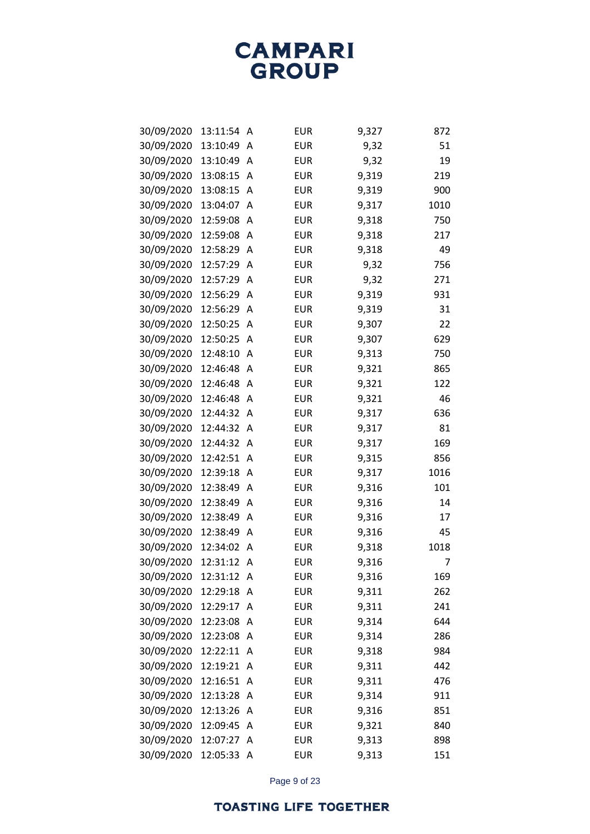| 30/09/2020 | 13:11:54 | A | <b>EUR</b> | 9,327 | 872  |
|------------|----------|---|------------|-------|------|
| 30/09/2020 | 13:10:49 | A | <b>EUR</b> | 9,32  | 51   |
| 30/09/2020 | 13:10:49 | Α | <b>EUR</b> | 9,32  | 19   |
| 30/09/2020 | 13:08:15 | Α | <b>EUR</b> | 9,319 | 219  |
| 30/09/2020 | 13:08:15 | Α | <b>EUR</b> | 9,319 | 900  |
| 30/09/2020 | 13:04:07 | A | <b>EUR</b> | 9,317 | 1010 |
| 30/09/2020 | 12:59:08 | A | <b>EUR</b> | 9,318 | 750  |
| 30/09/2020 | 12:59:08 | Α | <b>EUR</b> | 9,318 | 217  |
| 30/09/2020 | 12:58:29 | A | <b>EUR</b> | 9,318 | 49   |
| 30/09/2020 | 12:57:29 | A | <b>EUR</b> | 9,32  | 756  |
| 30/09/2020 | 12:57:29 | A | <b>EUR</b> | 9,32  | 271  |
| 30/09/2020 | 12:56:29 | Α | <b>EUR</b> | 9,319 | 931  |
| 30/09/2020 | 12:56:29 | A | <b>EUR</b> | 9,319 | 31   |
| 30/09/2020 | 12:50:25 | A | <b>EUR</b> | 9,307 | 22   |
| 30/09/2020 | 12:50:25 | A | <b>EUR</b> | 9,307 | 629  |
| 30/09/2020 | 12:48:10 | Α | <b>EUR</b> | 9,313 | 750  |
| 30/09/2020 | 12:46:48 | A | <b>EUR</b> | 9,321 | 865  |
| 30/09/2020 | 12:46:48 | A | <b>EUR</b> | 9,321 | 122  |
| 30/09/2020 | 12:46:48 | Α | <b>EUR</b> | 9,321 | 46   |
| 30/09/2020 | 12:44:32 | Α | <b>EUR</b> | 9,317 | 636  |
| 30/09/2020 | 12:44:32 | Α | <b>EUR</b> | 9,317 | 81   |
| 30/09/2020 | 12:44:32 | A | <b>EUR</b> | 9,317 | 169  |
| 30/09/2020 | 12:42:51 | Α | <b>EUR</b> | 9,315 | 856  |
| 30/09/2020 | 12:39:18 | Α | <b>EUR</b> | 9,317 | 1016 |
| 30/09/2020 | 12:38:49 | A | <b>EUR</b> | 9,316 | 101  |
| 30/09/2020 | 12:38:49 | A | <b>EUR</b> | 9,316 | 14   |
| 30/09/2020 | 12:38:49 | Α | <b>EUR</b> | 9,316 | 17   |
| 30/09/2020 | 12:38:49 | Α | <b>EUR</b> | 9,316 | 45   |
| 30/09/2020 | 12:34:02 | Α | <b>EUR</b> | 9,318 | 1018 |
| 30/09/2020 | 12:31:12 | Α | <b>EUR</b> | 9,316 | 7    |
| 30/09/2020 | 12:31:12 | A | <b>EUR</b> | 9,316 | 169  |
| 30/09/2020 | 12:29:18 | A | <b>EUR</b> | 9,311 | 262  |
| 30/09/2020 | 12:29:17 | A | <b>EUR</b> | 9,311 | 241  |
| 30/09/2020 | 12:23:08 | Α | <b>EUR</b> | 9,314 | 644  |
| 30/09/2020 | 12:23:08 | Α | <b>EUR</b> | 9,314 | 286  |
| 30/09/2020 | 12:22:11 | Α | <b>EUR</b> | 9,318 | 984  |
| 30/09/2020 | 12:19:21 | Α | <b>EUR</b> | 9,311 | 442  |
| 30/09/2020 | 12:16:51 | Α | <b>EUR</b> | 9,311 | 476  |
| 30/09/2020 | 12:13:28 | Α | <b>EUR</b> | 9,314 | 911  |
| 30/09/2020 | 12:13:26 | Α | <b>EUR</b> | 9,316 | 851  |
| 30/09/2020 | 12:09:45 | Α | <b>EUR</b> | 9,321 | 840  |
| 30/09/2020 | 12:07:27 | Α | <b>EUR</b> | 9,313 | 898  |
| 30/09/2020 | 12:05:33 | A | <b>EUR</b> | 9,313 | 151  |

Page 9 of 23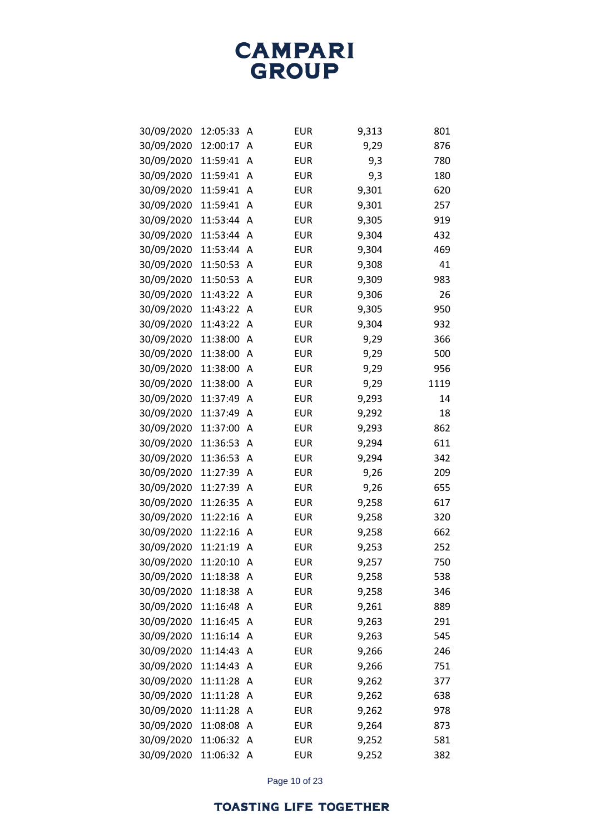| 30/09/2020 | 12:05:33 | А | <b>EUR</b> | 9,313 | 801  |
|------------|----------|---|------------|-------|------|
| 30/09/2020 | 12:00:17 | A | <b>EUR</b> | 9,29  | 876  |
| 30/09/2020 | 11:59:41 | Α | <b>EUR</b> | 9,3   | 780  |
| 30/09/2020 | 11:59:41 | Α | <b>EUR</b> | 9,3   | 180  |
| 30/09/2020 | 11:59:41 | Α | <b>EUR</b> | 9,301 | 620  |
| 30/09/2020 | 11:59:41 | Α | <b>EUR</b> | 9,301 | 257  |
| 30/09/2020 | 11:53:44 | Α | <b>EUR</b> | 9,305 | 919  |
| 30/09/2020 | 11:53:44 | Α | <b>EUR</b> | 9,304 | 432  |
| 30/09/2020 | 11:53:44 | Α | <b>EUR</b> | 9,304 | 469  |
| 30/09/2020 | 11:50:53 | Α | <b>EUR</b> | 9,308 | 41   |
| 30/09/2020 | 11:50:53 | Α | <b>EUR</b> | 9,309 | 983  |
| 30/09/2020 | 11:43:22 | Α | <b>EUR</b> | 9,306 | 26   |
| 30/09/2020 | 11:43:22 | Α | <b>EUR</b> | 9,305 | 950  |
| 30/09/2020 | 11:43:22 | Α | <b>EUR</b> | 9,304 | 932  |
| 30/09/2020 | 11:38:00 | Α | <b>EUR</b> | 9,29  | 366  |
| 30/09/2020 | 11:38:00 | Α | <b>EUR</b> | 9,29  | 500  |
| 30/09/2020 | 11:38:00 | Α | <b>EUR</b> | 9,29  | 956  |
| 30/09/2020 | 11:38:00 | Α | <b>EUR</b> | 9,29  | 1119 |
| 30/09/2020 | 11:37:49 | Α | <b>EUR</b> | 9,293 | 14   |
| 30/09/2020 | 11:37:49 | Α | <b>EUR</b> | 9,292 | 18   |
| 30/09/2020 | 11:37:00 | Α | <b>EUR</b> | 9,293 | 862  |
| 30/09/2020 | 11:36:53 | Α | <b>EUR</b> | 9,294 | 611  |
| 30/09/2020 | 11:36:53 | Α | <b>EUR</b> | 9,294 | 342  |
| 30/09/2020 | 11:27:39 | Α | <b>EUR</b> | 9,26  | 209  |
| 30/09/2020 | 11:27:39 | Α | <b>EUR</b> | 9,26  | 655  |
| 30/09/2020 | 11:26:35 | Α | <b>EUR</b> | 9,258 | 617  |
| 30/09/2020 | 11:22:16 | Α | <b>EUR</b> | 9,258 | 320  |
| 30/09/2020 | 11:22:16 | Α | <b>EUR</b> | 9,258 | 662  |
| 30/09/2020 | 11:21:19 | Α | <b>EUR</b> | 9,253 | 252  |
| 30/09/2020 | 11:20:10 | Α | <b>EUR</b> | 9,257 | 750  |
| 30/09/2020 | 11:18:38 | A | <b>EUR</b> | 9,258 | 538  |
| 30/09/2020 | 11:18:38 | Α | <b>EUR</b> | 9,258 | 346  |
| 30/09/2020 | 11:16:48 | Α | <b>EUR</b> | 9,261 | 889  |
| 30/09/2020 | 11:16:45 | Α | <b>EUR</b> | 9,263 | 291  |
| 30/09/2020 | 11:16:14 | Α | <b>EUR</b> | 9,263 | 545  |
| 30/09/2020 | 11:14:43 | Α | <b>EUR</b> | 9,266 | 246  |
| 30/09/2020 | 11:14:43 | Α | <b>EUR</b> | 9,266 | 751  |
| 30/09/2020 | 11:11:28 | Α | <b>EUR</b> | 9,262 | 377  |
| 30/09/2020 | 11:11:28 | A | <b>EUR</b> | 9,262 | 638  |
| 30/09/2020 | 11:11:28 | Α | <b>EUR</b> | 9,262 | 978  |
| 30/09/2020 | 11:08:08 | Α | <b>EUR</b> | 9,264 | 873  |
| 30/09/2020 | 11:06:32 | Α | <b>EUR</b> | 9,252 | 581  |
| 30/09/2020 | 11:06:32 | A | <b>EUR</b> | 9,252 | 382  |

Page 10 of 23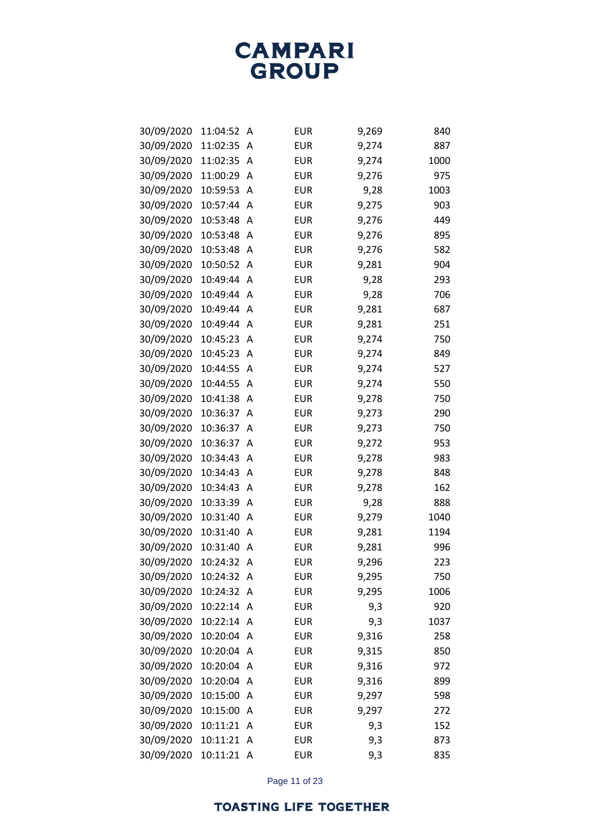| 30/09/2020 | 11:04:52 | Α | <b>EUR</b> | 9,269 | 840  |
|------------|----------|---|------------|-------|------|
| 30/09/2020 | 11:02:35 | A | <b>EUR</b> | 9,274 | 887  |
| 30/09/2020 | 11:02:35 | Α | <b>EUR</b> | 9,274 | 1000 |
| 30/09/2020 | 11:00:29 | Α | <b>EUR</b> | 9,276 | 975  |
| 30/09/2020 | 10:59:53 | Α | <b>EUR</b> | 9,28  | 1003 |
| 30/09/2020 | 10:57:44 | A | <b>EUR</b> | 9,275 | 903  |
| 30/09/2020 | 10:53:48 | Α | <b>EUR</b> | 9,276 | 449  |
| 30/09/2020 | 10:53:48 | Α | <b>EUR</b> | 9,276 | 895  |
| 30/09/2020 | 10:53:48 | Α | <b>EUR</b> | 9,276 | 582  |
| 30/09/2020 | 10:50:52 | Α | <b>EUR</b> | 9,281 | 904  |
| 30/09/2020 | 10:49:44 | A | <b>EUR</b> | 9,28  | 293  |
| 30/09/2020 | 10:49:44 | Α | <b>EUR</b> | 9,28  | 706  |
| 30/09/2020 | 10:49:44 | A | <b>EUR</b> | 9,281 | 687  |
| 30/09/2020 | 10:49:44 | A | <b>EUR</b> | 9,281 | 251  |
| 30/09/2020 | 10:45:23 | Α | <b>EUR</b> | 9,274 | 750  |
| 30/09/2020 | 10:45:23 | Α | <b>EUR</b> | 9,274 | 849  |
| 30/09/2020 | 10:44:55 | Α | <b>EUR</b> | 9,274 | 527  |
| 30/09/2020 | 10:44:55 | Α | <b>EUR</b> | 9,274 | 550  |
| 30/09/2020 | 10:41:38 | Α | <b>EUR</b> | 9,278 | 750  |
| 30/09/2020 | 10:36:37 | Α | <b>EUR</b> | 9,273 | 290  |
| 30/09/2020 | 10:36:37 | Α | <b>EUR</b> | 9,273 | 750  |
| 30/09/2020 | 10:36:37 | Α | <b>EUR</b> | 9,272 | 953  |
| 30/09/2020 | 10:34:43 | Α | <b>EUR</b> | 9,278 | 983  |
| 30/09/2020 | 10:34:43 | Α | <b>EUR</b> | 9,278 | 848  |
| 30/09/2020 | 10:34:43 | Α | <b>EUR</b> | 9,278 | 162  |
| 30/09/2020 | 10:33:39 | Α | <b>EUR</b> | 9,28  | 888  |
| 30/09/2020 | 10:31:40 | Α | <b>EUR</b> | 9,279 | 1040 |
| 30/09/2020 | 10:31:40 | Α | <b>EUR</b> | 9,281 | 1194 |
| 30/09/2020 | 10:31:40 | Α | <b>EUR</b> | 9,281 | 996  |
| 30/09/2020 | 10:24:32 | Α | <b>EUR</b> | 9,296 | 223  |
| 30/09/2020 | 10:24:32 | A | <b>EUR</b> | 9,295 | 750  |
| 30/09/2020 | 10:24:32 | A | <b>EUR</b> | 9,295 | 1006 |
| 30/09/2020 | 10:22:14 | A | <b>EUR</b> | 9,3   | 920  |
| 30/09/2020 | 10:22:14 | A | <b>EUR</b> | 9,3   | 1037 |
| 30/09/2020 | 10:20:04 | Α | <b>EUR</b> | 9,316 | 258  |
| 30/09/2020 | 10:20:04 | A | <b>EUR</b> | 9,315 | 850  |
| 30/09/2020 | 10:20:04 | Α | <b>EUR</b> | 9,316 | 972  |
| 30/09/2020 | 10:20:04 | Α | <b>EUR</b> | 9,316 | 899  |
| 30/09/2020 | 10:15:00 | Α | <b>EUR</b> | 9,297 | 598  |
| 30/09/2020 | 10:15:00 | Α | <b>EUR</b> | 9,297 | 272  |
| 30/09/2020 | 10:11:21 | Α | <b>EUR</b> | 9,3   | 152  |
| 30/09/2020 | 10:11:21 | Α | <b>EUR</b> | 9,3   | 873  |
| 30/09/2020 | 10:11:21 | A | <b>EUR</b> | 9,3   | 835  |

Page 11 of 23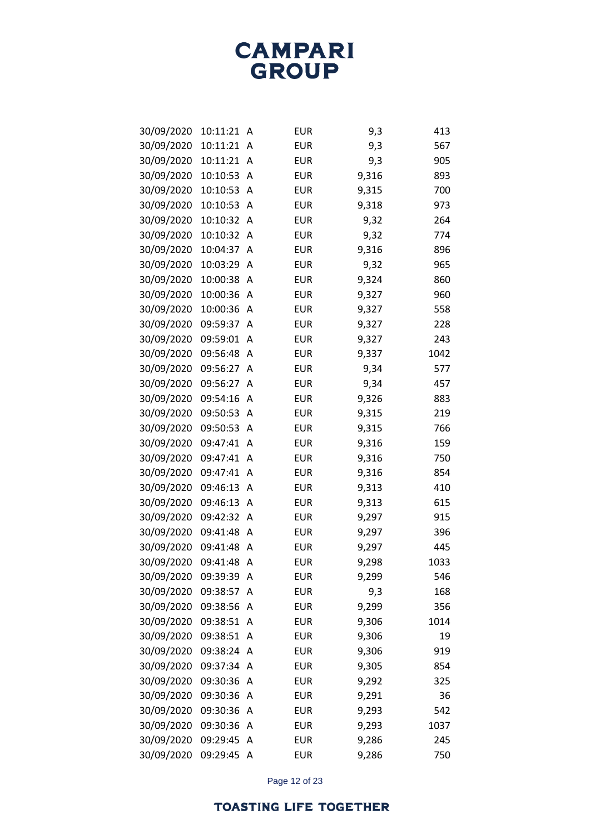| 30/09/2020 | 10:11:21 | Α | <b>EUR</b> | 9,3   | 413  |
|------------|----------|---|------------|-------|------|
| 30/09/2020 | 10:11:21 | A | <b>EUR</b> | 9,3   | 567  |
| 30/09/2020 | 10:11:21 | Α | <b>EUR</b> | 9,3   | 905  |
| 30/09/2020 | 10:10:53 | Α | <b>EUR</b> | 9,316 | 893  |
| 30/09/2020 | 10:10:53 | Α | <b>EUR</b> | 9,315 | 700  |
| 30/09/2020 | 10:10:53 | A | <b>EUR</b> | 9,318 | 973  |
| 30/09/2020 | 10:10:32 | Α | <b>EUR</b> | 9,32  | 264  |
| 30/09/2020 | 10:10:32 | Α | <b>EUR</b> | 9,32  | 774  |
| 30/09/2020 | 10:04:37 | A | <b>EUR</b> | 9,316 | 896  |
| 30/09/2020 | 10:03:29 | A | <b>EUR</b> | 9,32  | 965  |
| 30/09/2020 | 10:00:38 | Α | <b>EUR</b> | 9,324 | 860  |
| 30/09/2020 | 10:00:36 | Α | <b>EUR</b> | 9,327 | 960  |
| 30/09/2020 | 10:00:36 | Α | <b>EUR</b> | 9,327 | 558  |
| 30/09/2020 | 09:59:37 | A | <b>EUR</b> | 9,327 | 228  |
| 30/09/2020 | 09:59:01 | Α | <b>EUR</b> | 9,327 | 243  |
| 30/09/2020 | 09:56:48 | Α | <b>EUR</b> | 9,337 | 1042 |
| 30/09/2020 | 09:56:27 | A | <b>EUR</b> | 9,34  | 577  |
| 30/09/2020 | 09:56:27 | Α | <b>EUR</b> | 9,34  | 457  |
| 30/09/2020 | 09:54:16 | Α | <b>EUR</b> | 9,326 | 883  |
| 30/09/2020 | 09:50:53 | Α | <b>EUR</b> | 9,315 | 219  |
| 30/09/2020 | 09:50:53 | A | <b>EUR</b> | 9,315 | 766  |
| 30/09/2020 | 09:47:41 | Α | <b>EUR</b> | 9,316 | 159  |
| 30/09/2020 | 09:47:41 | Α | <b>EUR</b> | 9,316 | 750  |
| 30/09/2020 | 09:47:41 | Α | <b>EUR</b> | 9,316 | 854  |
| 30/09/2020 | 09:46:13 | Α | <b>EUR</b> | 9,313 | 410  |
| 30/09/2020 | 09:46:13 | Α | <b>EUR</b> | 9,313 | 615  |
| 30/09/2020 | 09:42:32 | Α | <b>EUR</b> | 9,297 | 915  |
| 30/09/2020 | 09:41:48 | Α | <b>EUR</b> | 9,297 | 396  |
| 30/09/2020 | 09:41:48 | Α | <b>EUR</b> | 9,297 | 445  |
| 30/09/2020 | 09:41:48 | Α | <b>EUR</b> | 9,298 | 1033 |
| 30/09/2020 | 09:39:39 | Α | <b>EUR</b> | 9,299 | 546  |
| 30/09/2020 | 09:38:57 | A | <b>EUR</b> | 9,3   | 168  |
| 30/09/2020 | 09:38:56 | Α | <b>EUR</b> | 9,299 | 356  |
| 30/09/2020 | 09:38:51 | Α | <b>EUR</b> | 9,306 | 1014 |
| 30/09/2020 | 09:38:51 | A | <b>EUR</b> | 9,306 | 19   |
| 30/09/2020 | 09:38:24 | A | <b>EUR</b> | 9,306 | 919  |
| 30/09/2020 | 09:37:34 | Α | <b>EUR</b> | 9,305 | 854  |
| 30/09/2020 | 09:30:36 | Α | <b>EUR</b> | 9,292 | 325  |
| 30/09/2020 | 09:30:36 | Α | <b>EUR</b> | 9,291 | 36   |
| 30/09/2020 | 09:30:36 | Α | <b>EUR</b> | 9,293 | 542  |
| 30/09/2020 | 09:30:36 | Α | <b>EUR</b> | 9,293 | 1037 |
| 30/09/2020 | 09:29:45 | Α | <b>EUR</b> | 9,286 | 245  |
| 30/09/2020 | 09:29:45 | Α | <b>EUR</b> | 9,286 | 750  |

Page 12 of 23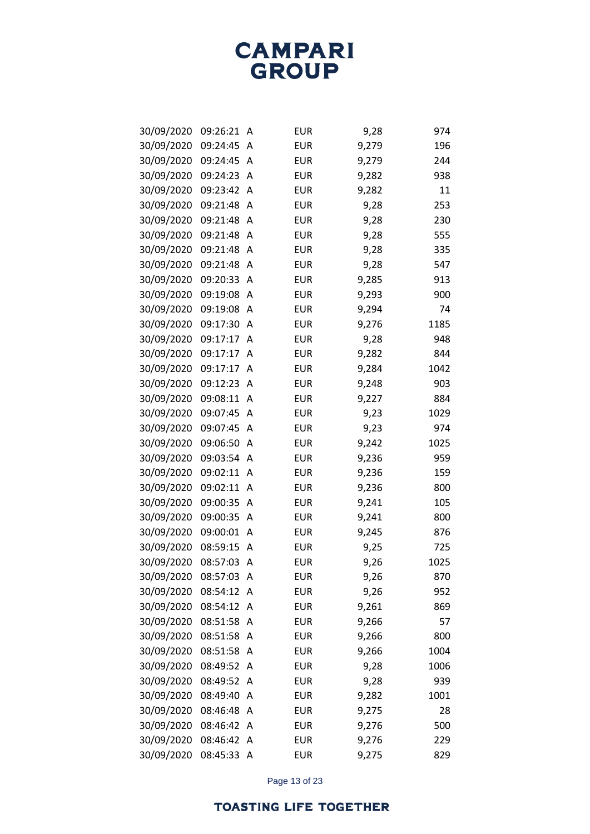| 30/09/2020 | 09:26:21 | Α | <b>EUR</b> | 9,28  | 974  |
|------------|----------|---|------------|-------|------|
| 30/09/2020 | 09:24:45 | A | <b>EUR</b> | 9,279 | 196  |
| 30/09/2020 | 09:24:45 | Α | <b>EUR</b> | 9,279 | 244  |
| 30/09/2020 | 09:24:23 | Α | <b>EUR</b> | 9,282 | 938  |
| 30/09/2020 | 09:23:42 | Α | <b>EUR</b> | 9,282 | 11   |
| 30/09/2020 | 09:21:48 | A | <b>EUR</b> | 9,28  | 253  |
| 30/09/2020 | 09:21:48 | Α | <b>EUR</b> | 9,28  | 230  |
| 30/09/2020 | 09:21:48 | Α | <b>EUR</b> | 9,28  | 555  |
| 30/09/2020 | 09:21:48 | Α | <b>EUR</b> | 9,28  | 335  |
| 30/09/2020 | 09:21:48 | Α | <b>EUR</b> | 9,28  | 547  |
| 30/09/2020 | 09:20:33 | Α | <b>EUR</b> | 9,285 | 913  |
| 30/09/2020 | 09:19:08 | Α | <b>EUR</b> | 9,293 | 900  |
| 30/09/2020 | 09:19:08 | Α | <b>EUR</b> | 9,294 | 74   |
| 30/09/2020 | 09:17:30 | A | <b>EUR</b> | 9,276 | 1185 |
| 30/09/2020 | 09:17:17 | A | <b>EUR</b> | 9,28  | 948  |
| 30/09/2020 | 09:17:17 | Α | <b>EUR</b> | 9,282 | 844  |
| 30/09/2020 | 09:17:17 | Α | <b>EUR</b> | 9,284 | 1042 |
| 30/09/2020 | 09:12:23 | Α | <b>EUR</b> | 9,248 | 903  |
| 30/09/2020 | 09:08:11 | Α | <b>EUR</b> | 9,227 | 884  |
| 30/09/2020 | 09:07:45 | Α | <b>EUR</b> | 9,23  | 1029 |
| 30/09/2020 | 09:07:45 | Α | <b>EUR</b> | 9,23  | 974  |
| 30/09/2020 | 09:06:50 | Α | <b>EUR</b> | 9,242 | 1025 |
| 30/09/2020 | 09:03:54 | Α | <b>EUR</b> | 9,236 | 959  |
| 30/09/2020 | 09:02:11 | Α | <b>EUR</b> | 9,236 | 159  |
| 30/09/2020 | 09:02:11 | Α | <b>EUR</b> | 9,236 | 800  |
| 30/09/2020 | 09:00:35 | Α | <b>EUR</b> | 9,241 | 105  |
| 30/09/2020 | 09:00:35 | Α | <b>EUR</b> | 9,241 | 800  |
| 30/09/2020 | 09:00:01 | Α | <b>EUR</b> | 9,245 | 876  |
| 30/09/2020 | 08:59:15 | Α | <b>EUR</b> | 9,25  | 725  |
| 30/09/2020 | 08:57:03 | Α | <b>EUR</b> | 9,26  | 1025 |
| 30/09/2020 | 08:57:03 | A | <b>EUR</b> | 9,26  | 870  |
| 30/09/2020 | 08:54:12 | A | <b>EUR</b> | 9,26  | 952  |
| 30/09/2020 | 08:54:12 | Α | <b>EUR</b> | 9,261 | 869  |
| 30/09/2020 | 08:51:58 | Α | <b>EUR</b> | 9,266 | 57   |
| 30/09/2020 | 08:51:58 | Α | <b>EUR</b> | 9,266 | 800  |
| 30/09/2020 | 08:51:58 | Α | <b>EUR</b> | 9,266 | 1004 |
| 30/09/2020 | 08:49:52 | Α | <b>EUR</b> | 9,28  | 1006 |
| 30/09/2020 | 08:49:52 | Α | <b>EUR</b> | 9,28  | 939  |
| 30/09/2020 | 08:49:40 | Α | <b>EUR</b> | 9,282 | 1001 |
| 30/09/2020 | 08:46:48 | Α | <b>EUR</b> | 9,275 | 28   |
| 30/09/2020 | 08:46:42 | Α | <b>EUR</b> | 9,276 | 500  |
| 30/09/2020 | 08:46:42 | Α | <b>EUR</b> | 9,276 | 229  |
| 30/09/2020 | 08:45:33 | A | EUR        | 9,275 | 829  |

Page 13 of 23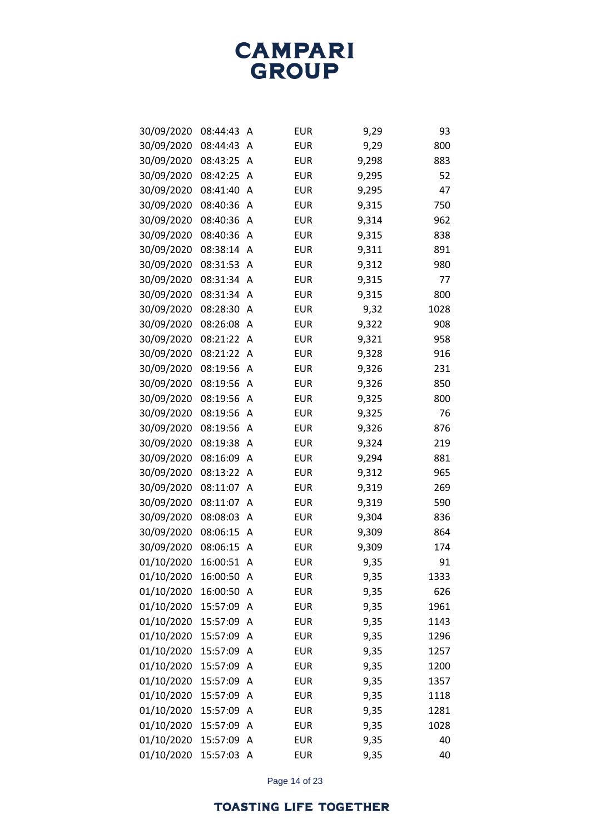| 30/09/2020 | 08:44:43 | Α | <b>EUR</b> | 9,29  | 93   |
|------------|----------|---|------------|-------|------|
| 30/09/2020 | 08:44:43 | Α | <b>EUR</b> | 9,29  | 800  |
| 30/09/2020 | 08:43:25 | Α | <b>EUR</b> | 9,298 | 883  |
| 30/09/2020 | 08:42:25 | Α | <b>EUR</b> | 9,295 | 52   |
| 30/09/2020 | 08:41:40 | Α | <b>EUR</b> | 9,295 | 47   |
| 30/09/2020 | 08:40:36 | Α | <b>EUR</b> | 9,315 | 750  |
| 30/09/2020 | 08:40:36 | Α | <b>EUR</b> | 9,314 | 962  |
| 30/09/2020 | 08:40:36 | Α | <b>EUR</b> | 9,315 | 838  |
| 30/09/2020 | 08:38:14 | Α | <b>EUR</b> | 9,311 | 891  |
| 30/09/2020 | 08:31:53 | Α | <b>EUR</b> | 9,312 | 980  |
| 30/09/2020 | 08:31:34 | Α | <b>EUR</b> | 9,315 | 77   |
| 30/09/2020 | 08:31:34 | Α | <b>EUR</b> | 9,315 | 800  |
| 30/09/2020 | 08:28:30 | Α | <b>EUR</b> | 9,32  | 1028 |
| 30/09/2020 | 08:26:08 | Α | <b>EUR</b> | 9,322 | 908  |
| 30/09/2020 | 08:21:22 | Α | <b>EUR</b> | 9,321 | 958  |
| 30/09/2020 | 08:21:22 | Α | <b>EUR</b> | 9,328 | 916  |
| 30/09/2020 | 08:19:56 | Α | <b>EUR</b> | 9,326 | 231  |
| 30/09/2020 | 08:19:56 | Α | <b>EUR</b> | 9,326 | 850  |
| 30/09/2020 | 08:19:56 | Α | <b>EUR</b> | 9,325 | 800  |
| 30/09/2020 | 08:19:56 | Α | <b>EUR</b> | 9,325 | 76   |
| 30/09/2020 | 08:19:56 | Α | <b>EUR</b> | 9,326 | 876  |
| 30/09/2020 | 08:19:38 | Α | <b>EUR</b> | 9,324 | 219  |
| 30/09/2020 | 08:16:09 | Α | <b>EUR</b> | 9,294 | 881  |
| 30/09/2020 | 08:13:22 | Α | <b>EUR</b> | 9,312 | 965  |
| 30/09/2020 | 08:11:07 | Α | <b>EUR</b> | 9,319 | 269  |
| 30/09/2020 | 08:11:07 | Α | <b>EUR</b> | 9,319 | 590  |
| 30/09/2020 | 08:08:03 | Α | <b>EUR</b> | 9,304 | 836  |
| 30/09/2020 | 08:06:15 | Α | <b>EUR</b> | 9,309 | 864  |
| 30/09/2020 | 08:06:15 | Α | <b>EUR</b> | 9,309 | 174  |
| 01/10/2020 | 16:00:51 | Α | <b>EUR</b> | 9,35  | 91   |
| 01/10/2020 | 16:00:50 | Α | <b>EUR</b> | 9,35  | 1333 |
| 01/10/2020 | 16:00:50 | Α | <b>EUR</b> | 9,35  | 626  |
| 01/10/2020 | 15:57:09 | Α | <b>EUR</b> | 9,35  | 1961 |
| 01/10/2020 | 15:57:09 | Α | <b>EUR</b> | 9,35  | 1143 |
| 01/10/2020 | 15:57:09 | Α | <b>EUR</b> | 9,35  | 1296 |
| 01/10/2020 | 15:57:09 | Α | <b>EUR</b> | 9,35  | 1257 |
| 01/10/2020 | 15:57:09 | Α | <b>EUR</b> | 9,35  | 1200 |
| 01/10/2020 | 15:57:09 | Α | <b>EUR</b> | 9,35  | 1357 |
| 01/10/2020 | 15:57:09 | Α | <b>EUR</b> | 9,35  | 1118 |
| 01/10/2020 | 15:57:09 | Α | <b>EUR</b> | 9,35  | 1281 |
| 01/10/2020 | 15:57:09 | Α | <b>EUR</b> | 9,35  | 1028 |
| 01/10/2020 | 15:57:09 | Α | <b>EUR</b> | 9,35  | 40   |
| 01/10/2020 | 15:57:03 | A | <b>EUR</b> | 9,35  | 40   |

Page 14 of 23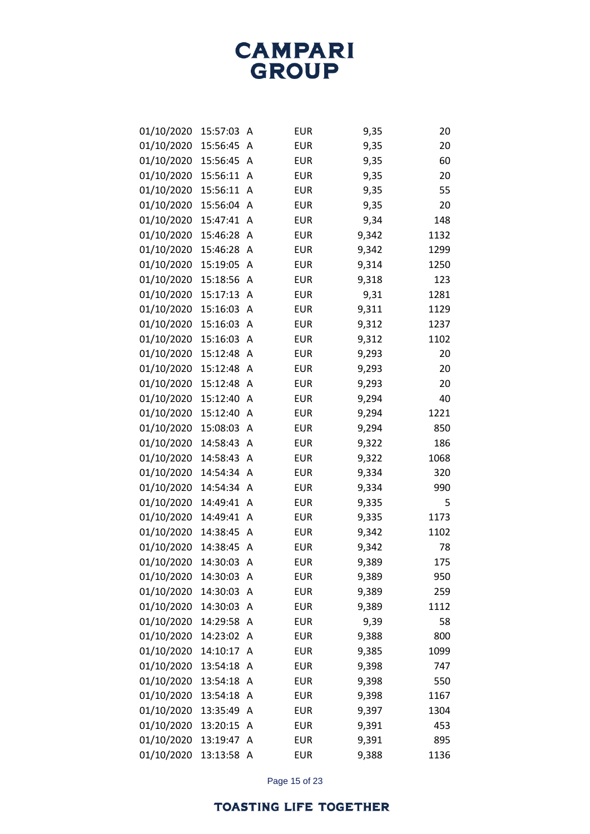| 01/10/2020 | 15:57:03 | А | <b>EUR</b> | 9,35  | 20   |
|------------|----------|---|------------|-------|------|
| 01/10/2020 | 15:56:45 | A | <b>EUR</b> | 9,35  | 20   |
| 01/10/2020 | 15:56:45 | A | <b>EUR</b> | 9,35  | 60   |
| 01/10/2020 | 15:56:11 | Α | <b>EUR</b> | 9,35  | 20   |
| 01/10/2020 | 15:56:11 | A | <b>EUR</b> | 9,35  | 55   |
| 01/10/2020 | 15:56:04 | A | <b>EUR</b> | 9,35  | 20   |
| 01/10/2020 | 15:47:41 | A | <b>EUR</b> | 9,34  | 148  |
| 01/10/2020 | 15:46:28 | Α | <b>EUR</b> | 9,342 | 1132 |
| 01/10/2020 | 15:46:28 | Α | <b>EUR</b> | 9,342 | 1299 |
| 01/10/2020 | 15:19:05 | Α | <b>EUR</b> | 9,314 | 1250 |
| 01/10/2020 | 15:18:56 | A | <b>EUR</b> | 9,318 | 123  |
| 01/10/2020 | 15:17:13 | Α | <b>EUR</b> | 9,31  | 1281 |
| 01/10/2020 | 15:16:03 | A | <b>EUR</b> | 9,311 | 1129 |
| 01/10/2020 | 15:16:03 | Α | <b>EUR</b> | 9,312 | 1237 |
| 01/10/2020 | 15:16:03 | A | <b>EUR</b> | 9,312 | 1102 |
| 01/10/2020 | 15:12:48 | Α | <b>EUR</b> | 9,293 | 20   |
| 01/10/2020 | 15:12:48 | Α | <b>EUR</b> | 9,293 | 20   |
| 01/10/2020 | 15:12:48 | Α | <b>EUR</b> | 9,293 | 20   |
| 01/10/2020 | 15:12:40 | Α | <b>EUR</b> | 9,294 | 40   |
| 01/10/2020 | 15:12:40 | Α | <b>EUR</b> | 9,294 | 1221 |
| 01/10/2020 | 15:08:03 | A | <b>EUR</b> | 9,294 | 850  |
| 01/10/2020 | 14:58:43 | Α | <b>EUR</b> | 9,322 | 186  |
| 01/10/2020 | 14:58:43 | A | <b>EUR</b> | 9,322 | 1068 |
| 01/10/2020 | 14:54:34 | Α | <b>EUR</b> | 9,334 | 320  |
| 01/10/2020 | 14:54:34 | A | <b>EUR</b> | 9,334 | 990  |
| 01/10/2020 | 14:49:41 | Α | <b>EUR</b> | 9,335 | 5    |
| 01/10/2020 | 14:49:41 | A | <b>EUR</b> | 9,335 | 1173 |
| 01/10/2020 | 14:38:45 | Α | <b>EUR</b> | 9,342 | 1102 |
| 01/10/2020 | 14:38:45 | A | <b>EUR</b> | 9,342 | 78   |
| 01/10/2020 | 14:30:03 | Α | <b>EUR</b> | 9,389 | 175  |
| 01/10/2020 | 14:30:03 | Α | <b>EUR</b> | 9,389 | 950  |
| 01/10/2020 | 14:30:03 | Α | <b>EUR</b> | 9,389 | 259  |
| 01/10/2020 | 14:30:03 | Α | <b>EUR</b> | 9,389 | 1112 |
| 01/10/2020 | 14:29:58 | Α | <b>EUR</b> | 9,39  | 58   |
| 01/10/2020 | 14:23:02 | Α | <b>EUR</b> | 9,388 | 800  |
| 01/10/2020 | 14:10:17 | A | <b>EUR</b> | 9,385 | 1099 |
| 01/10/2020 | 13:54:18 | Α | <b>EUR</b> | 9,398 | 747  |
| 01/10/2020 | 13:54:18 | Α | <b>EUR</b> | 9,398 | 550  |
| 01/10/2020 | 13:54:18 | Α | <b>EUR</b> | 9,398 | 1167 |
| 01/10/2020 | 13:35:49 | Α | <b>EUR</b> | 9,397 | 1304 |
| 01/10/2020 | 13:20:15 | Α | <b>EUR</b> | 9,391 | 453  |
| 01/10/2020 | 13:19:47 | Α | <b>EUR</b> | 9,391 | 895  |
| 01/10/2020 | 13:13:58 | A | <b>EUR</b> | 9,388 | 1136 |

Page 15 of 23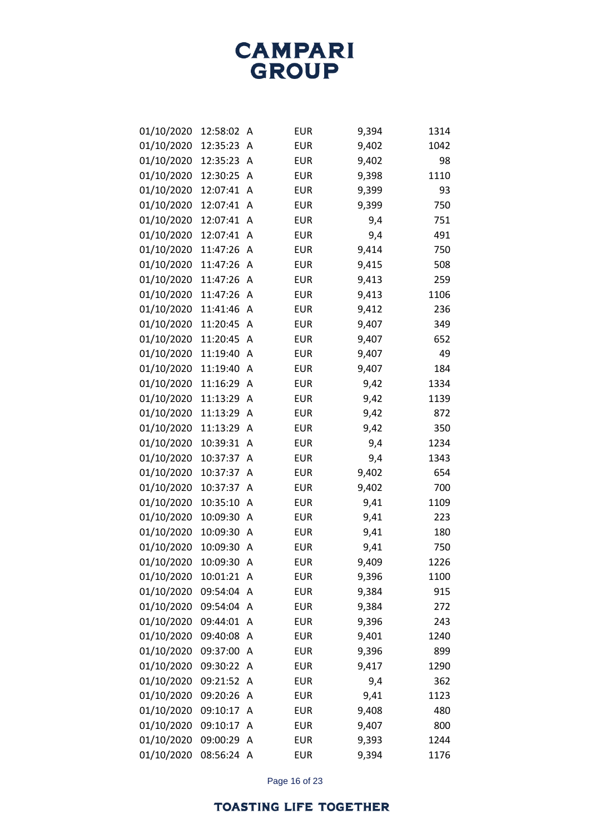| 01/10/2020 | 12:58:02   | Α | <b>EUR</b> | 9,394 | 1314 |
|------------|------------|---|------------|-------|------|
| 01/10/2020 | 12:35:23   | A | <b>EUR</b> | 9,402 | 1042 |
| 01/10/2020 | 12:35:23   | A | <b>EUR</b> | 9,402 | 98   |
| 01/10/2020 | 12:30:25   | Α | <b>EUR</b> | 9,398 | 1110 |
| 01/10/2020 | 12:07:41   | A | <b>EUR</b> | 9,399 | 93   |
| 01/10/2020 | 12:07:41   | Α | <b>EUR</b> | 9,399 | 750  |
| 01/10/2020 | 12:07:41   | A | <b>EUR</b> | 9,4   | 751  |
| 01/10/2020 | 12:07:41   | Α | <b>EUR</b> | 9,4   | 491  |
| 01/10/2020 | 11:47:26   | Α | <b>EUR</b> | 9,414 | 750  |
| 01/10/2020 | 11:47:26   | Α | <b>EUR</b> | 9,415 | 508  |
| 01/10/2020 | 11:47:26   | Α | <b>EUR</b> | 9,413 | 259  |
| 01/10/2020 | 11:47:26   | Α | <b>EUR</b> | 9,413 | 1106 |
| 01/10/2020 | 11:41:46   | Α | <b>EUR</b> | 9,412 | 236  |
| 01/10/2020 | 11:20:45   | Α | <b>EUR</b> | 9,407 | 349  |
| 01/10/2020 | 11:20:45   | Α | <b>EUR</b> | 9,407 | 652  |
| 01/10/2020 | 11:19:40   | Α | <b>EUR</b> | 9,407 | 49   |
| 01/10/2020 | 11:19:40   | Α | <b>EUR</b> | 9,407 | 184  |
| 01/10/2020 | 11:16:29   | Α | <b>EUR</b> | 9,42  | 1334 |
| 01/10/2020 | 11:13:29   | A | <b>EUR</b> | 9,42  | 1139 |
| 01/10/2020 | 11:13:29   | Α | <b>EUR</b> | 9,42  | 872  |
| 01/10/2020 | 11:13:29   | A | <b>EUR</b> | 9,42  | 350  |
| 01/10/2020 | 10:39:31   | Α | <b>EUR</b> | 9,4   | 1234 |
| 01/10/2020 | 10:37:37   | Α | <b>EUR</b> | 9,4   | 1343 |
| 01/10/2020 | 10:37:37   | Α | <b>EUR</b> | 9,402 | 654  |
| 01/10/2020 | 10:37:37   | Α | <b>EUR</b> | 9,402 | 700  |
| 01/10/2020 | 10:35:10   | Α | <b>EUR</b> | 9,41  | 1109 |
| 01/10/2020 | 10:09:30   | Α | <b>EUR</b> | 9,41  | 223  |
| 01/10/2020 | 10:09:30   | Α | <b>EUR</b> | 9,41  | 180  |
| 01/10/2020 | 10:09:30   | A | <b>EUR</b> | 9,41  | 750  |
| 01/10/2020 | 10:09:30   | Α | <b>EUR</b> | 9,409 | 1226 |
| 01/10/2020 | 10:01:21   | A | <b>EUR</b> | 9,396 | 1100 |
| 01/10/2020 | 09:54:04   | Α | <b>EUR</b> | 9,384 | 915  |
| 01/10/2020 | 09:54:04   | A | <b>EUR</b> | 9,384 | 272  |
| 01/10/2020 | 09:44:01   | Α | <b>EUR</b> | 9,396 | 243  |
| 01/10/2020 | 09:40:08   | Α | <b>EUR</b> | 9,401 | 1240 |
| 01/10/2020 | 09:37:00   | Α | <b>EUR</b> | 9,396 | 899  |
| 01/10/2020 | 09:30:22   | A | <b>EUR</b> | 9,417 | 1290 |
| 01/10/2020 | 09:21:52   | Α | <b>EUR</b> | 9,4   | 362  |
| 01/10/2020 | 09:20:26   | A | <b>EUR</b> | 9,41  | 1123 |
| 01/10/2020 | 09:10:17   | Α | <b>EUR</b> | 9,408 | 480  |
| 01/10/2020 | 09:10:17   | Α | <b>EUR</b> | 9,407 | 800  |
| 01/10/2020 | 09:00:29   | Α | <b>EUR</b> | 9,393 | 1244 |
| 01/10/2020 | 08:56:24 A |   | <b>EUR</b> | 9,394 | 1176 |

Page 16 of 23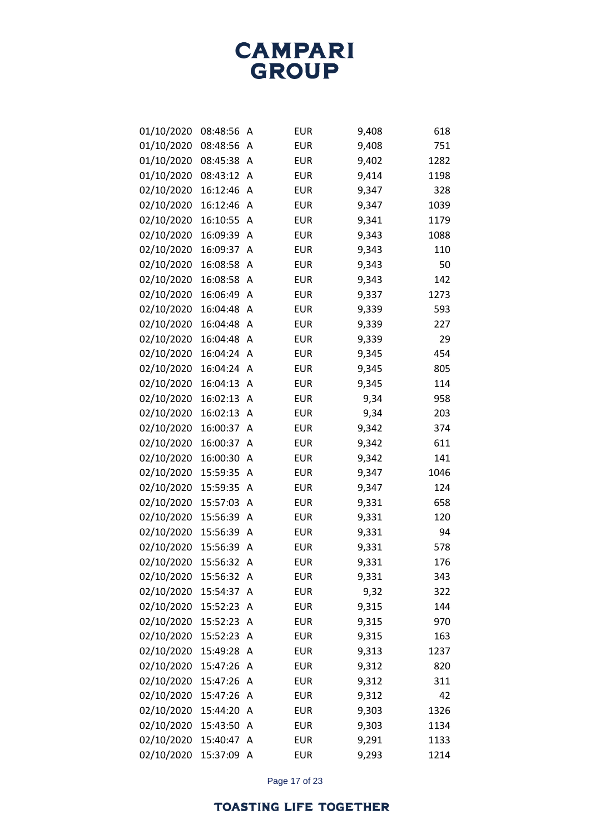| 01/10/2020 | 08:48:56 | Α | <b>EUR</b> | 9,408 | 618  |
|------------|----------|---|------------|-------|------|
| 01/10/2020 | 08:48:56 | Α | <b>EUR</b> | 9,408 | 751  |
| 01/10/2020 | 08:45:38 | A | <b>EUR</b> | 9,402 | 1282 |
| 01/10/2020 | 08:43:12 | Α | <b>EUR</b> | 9,414 | 1198 |
| 02/10/2020 | 16:12:46 | Α | <b>EUR</b> | 9,347 | 328  |
| 02/10/2020 | 16:12:46 | Α | <b>EUR</b> | 9,347 | 1039 |
| 02/10/2020 | 16:10:55 | Α | <b>EUR</b> | 9,341 | 1179 |
| 02/10/2020 | 16:09:39 | Α | <b>EUR</b> | 9,343 | 1088 |
| 02/10/2020 | 16:09:37 | Α | <b>EUR</b> | 9,343 | 110  |
| 02/10/2020 | 16:08:58 | Α | <b>EUR</b> | 9,343 | 50   |
| 02/10/2020 | 16:08:58 | Α | <b>EUR</b> | 9,343 | 142  |
| 02/10/2020 | 16:06:49 | Α | <b>EUR</b> | 9,337 | 1273 |
| 02/10/2020 | 16:04:48 | Α | <b>EUR</b> | 9,339 | 593  |
| 02/10/2020 | 16:04:48 | Α | <b>EUR</b> | 9,339 | 227  |
| 02/10/2020 | 16:04:48 | A | <b>EUR</b> | 9,339 | 29   |
| 02/10/2020 | 16:04:24 | Α | <b>EUR</b> | 9,345 | 454  |
| 02/10/2020 | 16:04:24 | Α | <b>EUR</b> | 9,345 | 805  |
| 02/10/2020 | 16:04:13 | Α | <b>EUR</b> | 9,345 | 114  |
| 02/10/2020 | 16:02:13 | Α | <b>EUR</b> | 9,34  | 958  |
| 02/10/2020 | 16:02:13 | Α | <b>EUR</b> | 9,34  | 203  |
| 02/10/2020 | 16:00:37 | Α | <b>EUR</b> | 9,342 | 374  |
| 02/10/2020 | 16:00:37 | Α | <b>EUR</b> | 9,342 | 611  |
| 02/10/2020 | 16:00:30 | Α | <b>EUR</b> | 9,342 | 141  |
| 02/10/2020 | 15:59:35 | Α | <b>EUR</b> | 9,347 | 1046 |
| 02/10/2020 | 15:59:35 | Α | <b>EUR</b> | 9,347 | 124  |
| 02/10/2020 | 15:57:03 | Α | <b>EUR</b> | 9,331 | 658  |
| 02/10/2020 | 15:56:39 | Α | <b>EUR</b> | 9,331 | 120  |
| 02/10/2020 | 15:56:39 | Α | <b>EUR</b> | 9,331 | 94   |
| 02/10/2020 | 15:56:39 | Α | <b>EUR</b> | 9,331 | 578  |
| 02/10/2020 | 15:56:32 | A | <b>EUR</b> | 9,331 | 176  |
| 02/10/2020 | 15:56:32 | A | <b>EUR</b> | 9,331 | 343  |
| 02/10/2020 | 15:54:37 | Α | <b>EUR</b> | 9,32  | 322  |
| 02/10/2020 | 15:52:23 | Α | <b>EUR</b> | 9,315 | 144  |
| 02/10/2020 | 15:52:23 | Α | <b>EUR</b> | 9,315 | 970  |
| 02/10/2020 | 15:52:23 | A | <b>EUR</b> | 9,315 | 163  |
| 02/10/2020 | 15:49:28 | Α | <b>EUR</b> | 9,313 | 1237 |
| 02/10/2020 | 15:47:26 | Α | <b>EUR</b> | 9,312 | 820  |
| 02/10/2020 | 15:47:26 | Α | <b>EUR</b> | 9,312 | 311  |
| 02/10/2020 | 15:47:26 | A | <b>EUR</b> | 9,312 | 42   |
| 02/10/2020 | 15:44:20 | Α | <b>EUR</b> | 9,303 | 1326 |
| 02/10/2020 | 15:43:50 | Α | <b>EUR</b> | 9,303 | 1134 |
| 02/10/2020 | 15:40:47 | Α | <b>EUR</b> | 9,291 | 1133 |
| 02/10/2020 | 15:37:09 | A | <b>EUR</b> | 9,293 | 1214 |

Page 17 of 23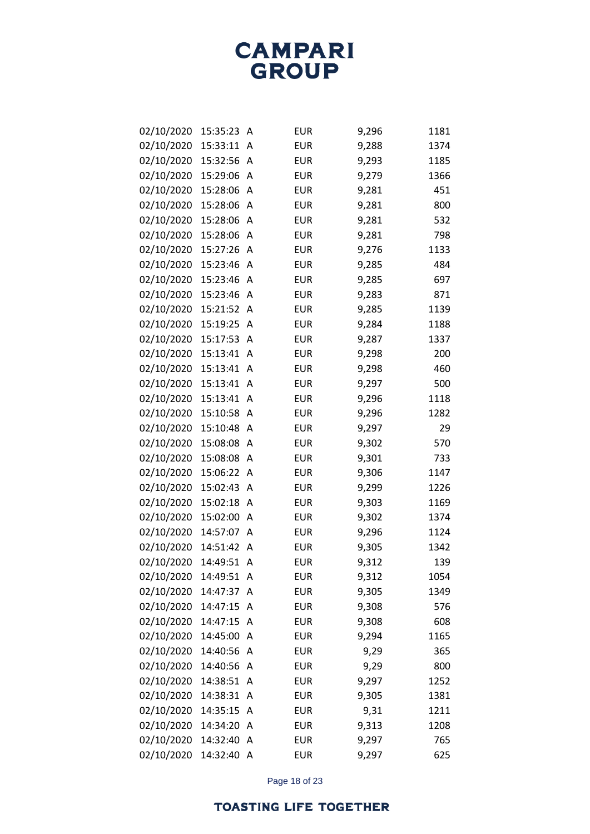| 02/10/2020 | 15:35:23 | Α | <b>EUR</b> | 9,296 | 1181 |
|------------|----------|---|------------|-------|------|
| 02/10/2020 | 15:33:11 | A | <b>EUR</b> | 9,288 | 1374 |
| 02/10/2020 | 15:32:56 | A | <b>EUR</b> | 9,293 | 1185 |
| 02/10/2020 | 15:29:06 | Α | <b>EUR</b> | 9,279 | 1366 |
| 02/10/2020 | 15:28:06 | A | <b>EUR</b> | 9,281 | 451  |
| 02/10/2020 | 15:28:06 | A | <b>EUR</b> | 9,281 | 800  |
| 02/10/2020 | 15:28:06 | A | <b>EUR</b> | 9,281 | 532  |
| 02/10/2020 | 15:28:06 | Α | <b>EUR</b> | 9,281 | 798  |
| 02/10/2020 | 15:27:26 | A | <b>EUR</b> | 9,276 | 1133 |
| 02/10/2020 | 15:23:46 | Α | <b>EUR</b> | 9,285 | 484  |
| 02/10/2020 | 15:23:46 | A | <b>EUR</b> | 9,285 | 697  |
| 02/10/2020 | 15:23:46 | Α | <b>EUR</b> | 9,283 | 871  |
| 02/10/2020 | 15:21:52 | A | <b>EUR</b> | 9,285 | 1139 |
| 02/10/2020 | 15:19:25 | A | <b>EUR</b> | 9,284 | 1188 |
| 02/10/2020 | 15:17:53 | A | <b>EUR</b> | 9,287 | 1337 |
| 02/10/2020 | 15:13:41 | Α | <b>EUR</b> | 9,298 | 200  |
| 02/10/2020 | 15:13:41 | A | <b>EUR</b> | 9,298 | 460  |
| 02/10/2020 | 15:13:41 | Α | <b>EUR</b> | 9,297 | 500  |
| 02/10/2020 | 15:13:41 | A | <b>EUR</b> | 9,296 | 1118 |
| 02/10/2020 | 15:10:58 | Α | <b>EUR</b> | 9,296 | 1282 |
| 02/10/2020 | 15:10:48 | A | <b>EUR</b> | 9,297 | 29   |
| 02/10/2020 | 15:08:08 | Α | <b>EUR</b> | 9,302 | 570  |
| 02/10/2020 | 15:08:08 | A | <b>EUR</b> | 9,301 | 733  |
| 02/10/2020 | 15:06:22 | Α | <b>EUR</b> | 9,306 | 1147 |
| 02/10/2020 | 15:02:43 | A | <b>EUR</b> | 9,299 | 1226 |
| 02/10/2020 | 15:02:18 | Α | <b>EUR</b> | 9,303 | 1169 |
| 02/10/2020 | 15:02:00 | A | <b>EUR</b> | 9,302 | 1374 |
| 02/10/2020 | 14:57:07 | Α | <b>EUR</b> | 9,296 | 1124 |
| 02/10/2020 | 14:51:42 | A | <b>EUR</b> | 9,305 | 1342 |
| 02/10/2020 | 14:49:51 | A | <b>EUR</b> | 9,312 | 139  |
| 02/10/2020 | 14:49:51 | A | <b>EUR</b> | 9,312 | 1054 |
| 02/10/2020 | 14:47:37 | A | <b>EUR</b> | 9,305 | 1349 |
| 02/10/2020 | 14:47:15 | A | <b>EUR</b> | 9,308 | 576  |
| 02/10/2020 | 14:47:15 | A | <b>EUR</b> | 9,308 | 608  |
| 02/10/2020 | 14:45:00 | A | <b>EUR</b> | 9,294 | 1165 |
| 02/10/2020 | 14:40:56 | Α | <b>EUR</b> | 9,29  | 365  |
| 02/10/2020 | 14:40:56 | A | <b>EUR</b> | 9,29  | 800  |
| 02/10/2020 | 14:38:51 | Α | <b>EUR</b> | 9,297 | 1252 |
| 02/10/2020 | 14:38:31 | A | <b>EUR</b> | 9,305 | 1381 |
| 02/10/2020 | 14:35:15 | A | <b>EUR</b> | 9,31  | 1211 |
| 02/10/2020 | 14:34:20 | A | <b>EUR</b> | 9,313 | 1208 |
| 02/10/2020 | 14:32:40 | Α | <b>EUR</b> | 9,297 | 765  |
| 02/10/2020 | 14:32:40 | A | <b>EUR</b> | 9,297 | 625  |

Page 18 of 23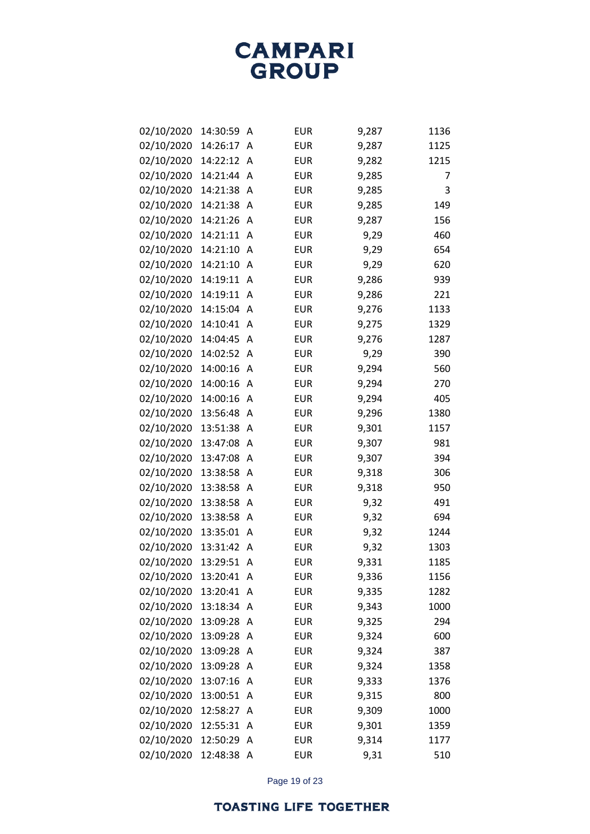| 02/10/2020 | 14:30:59 | Α | <b>EUR</b> | 9,287 | 1136 |
|------------|----------|---|------------|-------|------|
| 02/10/2020 | 14:26:17 | Α | <b>EUR</b> | 9,287 | 1125 |
| 02/10/2020 | 14:22:12 | A | <b>EUR</b> | 9,282 | 1215 |
| 02/10/2020 | 14:21:44 | Α | <b>EUR</b> | 9,285 | 7    |
| 02/10/2020 | 14:21:38 | Α | <b>EUR</b> | 9,285 | 3    |
| 02/10/2020 | 14:21:38 | Α | <b>EUR</b> | 9,285 | 149  |
| 02/10/2020 | 14:21:26 | Α | <b>EUR</b> | 9,287 | 156  |
| 02/10/2020 | 14:21:11 | Α | <b>EUR</b> | 9,29  | 460  |
| 02/10/2020 | 14:21:10 | Α | <b>EUR</b> | 9,29  | 654  |
| 02/10/2020 | 14:21:10 | Α | <b>EUR</b> | 9,29  | 620  |
| 02/10/2020 | 14:19:11 | Α | <b>EUR</b> | 9,286 | 939  |
| 02/10/2020 | 14:19:11 | Α | <b>EUR</b> | 9,286 | 221  |
| 02/10/2020 | 14:15:04 | Α | <b>EUR</b> | 9,276 | 1133 |
| 02/10/2020 | 14:10:41 | Α | <b>EUR</b> | 9,275 | 1329 |
| 02/10/2020 | 14:04:45 | Α | <b>EUR</b> | 9,276 | 1287 |
| 02/10/2020 | 14:02:52 | Α | <b>EUR</b> | 9,29  | 390  |
| 02/10/2020 | 14:00:16 | Α | <b>EUR</b> | 9,294 | 560  |
| 02/10/2020 | 14:00:16 | Α | <b>EUR</b> | 9,294 | 270  |
| 02/10/2020 | 14:00:16 | Α | <b>EUR</b> | 9,294 | 405  |
| 02/10/2020 | 13:56:48 | Α | <b>EUR</b> | 9,296 | 1380 |
| 02/10/2020 | 13:51:38 | Α | <b>EUR</b> | 9,301 | 1157 |
| 02/10/2020 | 13:47:08 | Α | <b>EUR</b> | 9,307 | 981  |
| 02/10/2020 | 13:47:08 | Α | <b>EUR</b> | 9,307 | 394  |
| 02/10/2020 | 13:38:58 | Α | <b>EUR</b> | 9,318 | 306  |
| 02/10/2020 | 13:38:58 | Α | <b>EUR</b> | 9,318 | 950  |
| 02/10/2020 | 13:38:58 | Α | <b>EUR</b> | 9,32  | 491  |
| 02/10/2020 | 13:38:58 | Α | <b>EUR</b> | 9,32  | 694  |
| 02/10/2020 | 13:35:01 | A | <b>EUR</b> | 9,32  | 1244 |
| 02/10/2020 | 13:31:42 | Α | <b>EUR</b> | 9,32  | 1303 |
| 02/10/2020 | 13:29:51 | Α | <b>EUR</b> | 9,331 | 1185 |
| 02/10/2020 | 13:20:41 | A | <b>EUR</b> | 9,336 | 1156 |
| 02/10/2020 | 13:20:41 | Α | <b>EUR</b> | 9,335 | 1282 |
| 02/10/2020 | 13:18:34 | Α | EUR        | 9,343 | 1000 |
| 02/10/2020 | 13:09:28 | Α | EUR        | 9,325 | 294  |
| 02/10/2020 | 13:09:28 | Α | EUR        | 9,324 | 600  |
| 02/10/2020 | 13:09:28 | Α | EUR        | 9,324 | 387  |
| 02/10/2020 | 13:09:28 | Α | <b>EUR</b> | 9,324 | 1358 |
| 02/10/2020 | 13:07:16 | Α | <b>EUR</b> | 9,333 | 1376 |
| 02/10/2020 | 13:00:51 | Α | <b>EUR</b> | 9,315 | 800  |
| 02/10/2020 | 12:58:27 | Α | EUR        | 9,309 | 1000 |
| 02/10/2020 | 12:55:31 | Α | EUR        | 9,301 | 1359 |
| 02/10/2020 | 12:50:29 | Α | <b>EUR</b> | 9,314 | 1177 |
| 02/10/2020 | 12:48:38 | A | EUR        | 9,31  | 510  |

Page 19 of 23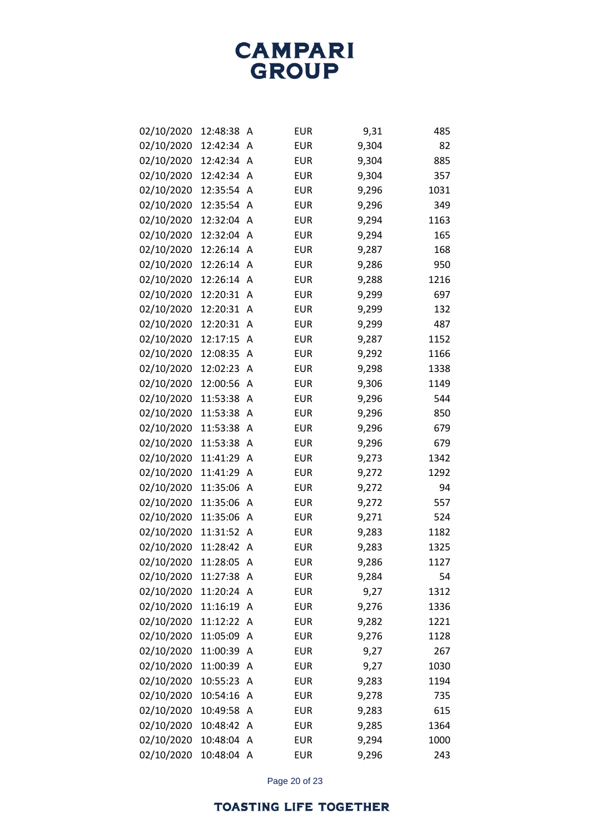| 02/10/2020 | 12:48:38 | Α | <b>EUR</b> | 9,31  | 485  |
|------------|----------|---|------------|-------|------|
| 02/10/2020 | 12:42:34 | A | <b>EUR</b> | 9,304 | 82   |
| 02/10/2020 | 12:42:34 | A | <b>EUR</b> | 9,304 | 885  |
| 02/10/2020 | 12:42:34 | A | <b>EUR</b> | 9,304 | 357  |
| 02/10/2020 | 12:35:54 | Α | <b>EUR</b> | 9,296 | 1031 |
| 02/10/2020 | 12:35:54 | A | <b>EUR</b> | 9,296 | 349  |
| 02/10/2020 | 12:32:04 | A | <b>EUR</b> | 9,294 | 1163 |
| 02/10/2020 | 12:32:04 | Α | <b>EUR</b> | 9,294 | 165  |
| 02/10/2020 | 12:26:14 | A | <b>EUR</b> | 9,287 | 168  |
| 02/10/2020 | 12:26:14 | A | <b>EUR</b> | 9,286 | 950  |
| 02/10/2020 | 12:26:14 | Α | <b>EUR</b> | 9,288 | 1216 |
| 02/10/2020 | 12:20:31 | Α | <b>EUR</b> | 9,299 | 697  |
| 02/10/2020 | 12:20:31 | Α | <b>EUR</b> | 9,299 | 132  |
| 02/10/2020 | 12:20:31 | Α | <b>EUR</b> | 9,299 | 487  |
| 02/10/2020 | 12:17:15 | Α | <b>EUR</b> | 9,287 | 1152 |
| 02/10/2020 | 12:08:35 | Α | <b>EUR</b> | 9,292 | 1166 |
| 02/10/2020 | 12:02:23 | Α | <b>EUR</b> | 9,298 | 1338 |
| 02/10/2020 | 12:00:56 | Α | <b>EUR</b> | 9,306 | 1149 |
| 02/10/2020 | 11:53:38 | Α | <b>EUR</b> | 9,296 | 544  |
| 02/10/2020 | 11:53:38 | Α | <b>EUR</b> | 9,296 | 850  |
| 02/10/2020 | 11:53:38 | Α | <b>EUR</b> | 9,296 | 679  |
| 02/10/2020 | 11:53:38 | Α | <b>EUR</b> | 9,296 | 679  |
| 02/10/2020 | 11:41:29 | Α | <b>EUR</b> | 9,273 | 1342 |
| 02/10/2020 | 11:41:29 | Α | <b>EUR</b> | 9,272 | 1292 |
| 02/10/2020 | 11:35:06 | Α | <b>EUR</b> | 9,272 | 94   |
| 02/10/2020 | 11:35:06 | Α | <b>EUR</b> | 9,272 | 557  |
| 02/10/2020 | 11:35:06 | Α | <b>EUR</b> | 9,271 | 524  |
| 02/10/2020 | 11:31:52 | Α | <b>EUR</b> | 9,283 | 1182 |
| 02/10/2020 | 11:28:42 | Α | <b>EUR</b> | 9,283 | 1325 |
| 02/10/2020 | 11:28:05 | Α | <b>EUR</b> | 9,286 | 1127 |
| 02/10/2020 | 11:27:38 | A | <b>EUR</b> | 9,284 | 54   |
| 02/10/2020 | 11:20:24 | A | <b>EUR</b> | 9,27  | 1312 |
| 02/10/2020 | 11:16:19 | Α | <b>EUR</b> | 9,276 | 1336 |
| 02/10/2020 | 11:12:22 | Α | <b>EUR</b> | 9,282 | 1221 |
| 02/10/2020 | 11:05:09 | Α | <b>EUR</b> | 9,276 | 1128 |
| 02/10/2020 | 11:00:39 | Α | <b>EUR</b> | 9,27  | 267  |
| 02/10/2020 | 11:00:39 | Α | <b>EUR</b> | 9,27  | 1030 |
| 02/10/2020 | 10:55:23 | Α | <b>EUR</b> | 9,283 | 1194 |
| 02/10/2020 | 10:54:16 | Α | <b>EUR</b> | 9,278 | 735  |
| 02/10/2020 | 10:49:58 | Α | <b>EUR</b> | 9,283 | 615  |
| 02/10/2020 | 10:48:42 | Α | <b>EUR</b> | 9,285 | 1364 |
| 02/10/2020 | 10:48:04 | Α | <b>EUR</b> | 9,294 | 1000 |
| 02/10/2020 | 10:48:04 | A | <b>EUR</b> | 9,296 | 243  |

Page 20 of 23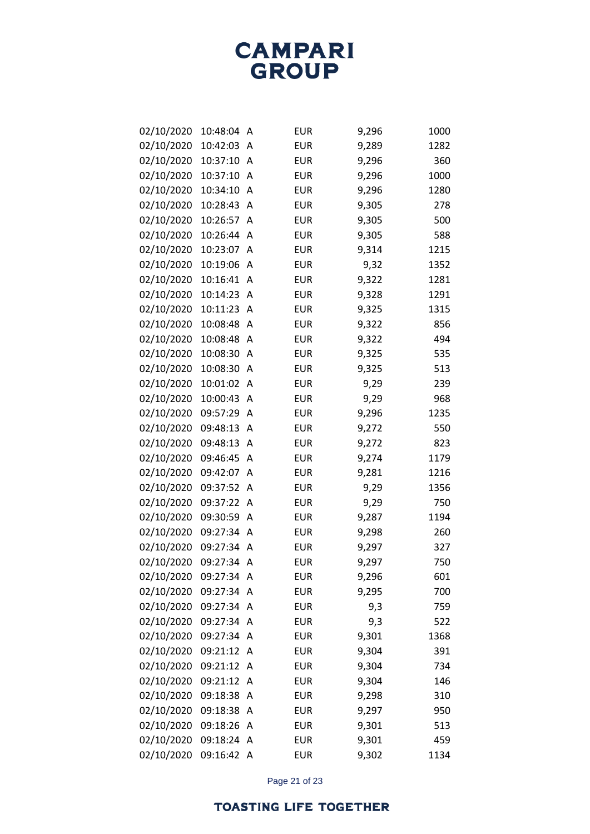| 02/10/2020 | 10:48:04 | Α | <b>EUR</b> | 9,296 | 1000 |
|------------|----------|---|------------|-------|------|
| 02/10/2020 | 10:42:03 | Α | <b>EUR</b> | 9,289 | 1282 |
| 02/10/2020 | 10:37:10 | Α | <b>EUR</b> | 9,296 | 360  |
| 02/10/2020 | 10:37:10 | Α | <b>EUR</b> | 9,296 | 1000 |
| 02/10/2020 | 10:34:10 | Α | <b>EUR</b> | 9,296 | 1280 |
| 02/10/2020 | 10:28:43 | A | <b>EUR</b> | 9,305 | 278  |
| 02/10/2020 | 10:26:57 | A | <b>EUR</b> | 9,305 | 500  |
| 02/10/2020 | 10:26:44 | A | <b>EUR</b> | 9,305 | 588  |
| 02/10/2020 | 10:23:07 | Α | <b>EUR</b> | 9,314 | 1215 |
| 02/10/2020 | 10:19:06 | Α | <b>EUR</b> | 9,32  | 1352 |
| 02/10/2020 | 10:16:41 | A | <b>EUR</b> | 9,322 | 1281 |
| 02/10/2020 | 10:14:23 | Α | <b>EUR</b> | 9,328 | 1291 |
| 02/10/2020 | 10:11:23 | Α | <b>EUR</b> | 9,325 | 1315 |
| 02/10/2020 | 10:08:48 | Α | <b>EUR</b> | 9,322 | 856  |
| 02/10/2020 | 10:08:48 | Α | <b>EUR</b> | 9,322 | 494  |
| 02/10/2020 | 10:08:30 | Α | <b>EUR</b> | 9,325 | 535  |
| 02/10/2020 | 10:08:30 | Α | <b>EUR</b> | 9,325 | 513  |
| 02/10/2020 | 10:01:02 | A | <b>EUR</b> | 9,29  | 239  |
| 02/10/2020 | 10:00:43 | Α | <b>EUR</b> | 9,29  | 968  |
| 02/10/2020 | 09:57:29 | Α | <b>EUR</b> | 9,296 | 1235 |
| 02/10/2020 | 09:48:13 | Α | <b>EUR</b> | 9,272 | 550  |
| 02/10/2020 | 09:48:13 | Α | <b>EUR</b> | 9,272 | 823  |
| 02/10/2020 | 09:46:45 | Α | <b>EUR</b> | 9,274 | 1179 |
| 02/10/2020 | 09:42:07 | Α | <b>EUR</b> | 9,281 | 1216 |
| 02/10/2020 | 09:37:52 | A | <b>EUR</b> | 9,29  | 1356 |
| 02/10/2020 | 09:37:22 | Α | <b>EUR</b> | 9,29  | 750  |
| 02/10/2020 | 09:30:59 | Α | <b>EUR</b> | 9,287 | 1194 |
| 02/10/2020 | 09:27:34 | A | <b>EUR</b> | 9,298 | 260  |
| 02/10/2020 | 09:27:34 | Α | <b>EUR</b> | 9,297 | 327  |
| 02/10/2020 | 09:27:34 | A | <b>EUR</b> | 9,297 | 750  |
| 02/10/2020 | 09:27:34 | A | <b>EUR</b> | 9,296 | 601  |
| 02/10/2020 | 09:27:34 | A | <b>EUR</b> | 9,295 | 700  |
| 02/10/2020 | 09:27:34 | A | <b>EUR</b> | 9,3   | 759  |
| 02/10/2020 | 09:27:34 | A | <b>EUR</b> | 9,3   | 522  |
| 02/10/2020 | 09:27:34 | Α | <b>EUR</b> | 9,301 | 1368 |
| 02/10/2020 | 09:21:12 | A | <b>EUR</b> | 9,304 | 391  |
| 02/10/2020 | 09:21:12 | A | <b>EUR</b> | 9,304 | 734  |
| 02/10/2020 | 09:21:12 | A | <b>EUR</b> | 9,304 | 146  |
| 02/10/2020 | 09:18:38 | Α | <b>EUR</b> | 9,298 | 310  |
| 02/10/2020 | 09:18:38 | A | <b>EUR</b> | 9,297 | 950  |
| 02/10/2020 | 09:18:26 | Α | <b>EUR</b> | 9,301 | 513  |
| 02/10/2020 | 09:18:24 | A | <b>EUR</b> | 9,301 | 459  |
| 02/10/2020 | 09:16:42 | A | EUR        | 9,302 | 1134 |

Page 21 of 23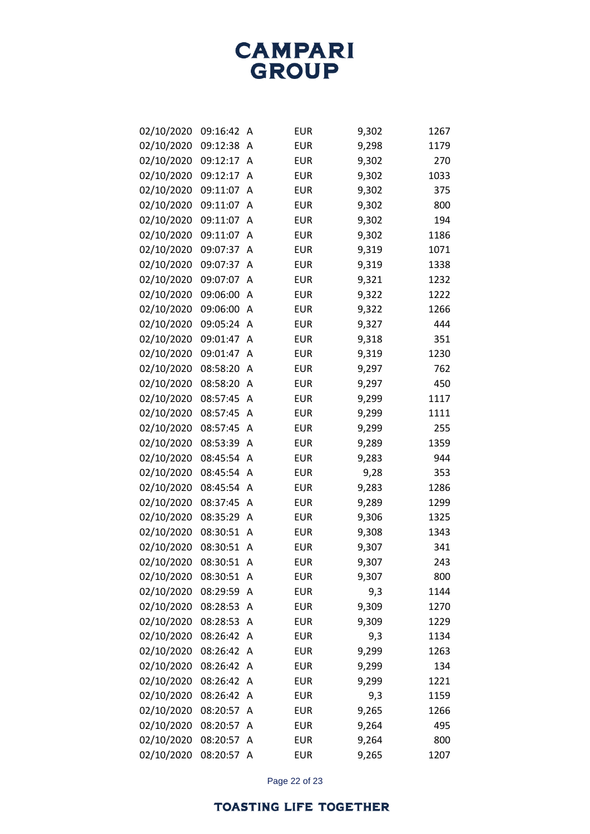| 02/10/2020 | 09:16:42 | Α | <b>EUR</b> | 9,302 | 1267 |
|------------|----------|---|------------|-------|------|
| 02/10/2020 | 09:12:38 | Α | <b>EUR</b> | 9,298 | 1179 |
| 02/10/2020 | 09:12:17 | Α | <b>EUR</b> | 9,302 | 270  |
| 02/10/2020 | 09:12:17 | Α | <b>EUR</b> | 9,302 | 1033 |
| 02/10/2020 | 09:11:07 | Α | <b>EUR</b> | 9,302 | 375  |
| 02/10/2020 | 09:11:07 | A | <b>EUR</b> | 9,302 | 800  |
| 02/10/2020 | 09:11:07 | A | <b>EUR</b> | 9,302 | 194  |
| 02/10/2020 | 09:11:07 | Α | <b>EUR</b> | 9,302 | 1186 |
| 02/10/2020 | 09:07:37 | Α | <b>EUR</b> | 9,319 | 1071 |
| 02/10/2020 | 09:07:37 | Α | <b>EUR</b> | 9,319 | 1338 |
| 02/10/2020 | 09:07:07 | Α | <b>EUR</b> | 9,321 | 1232 |
| 02/10/2020 | 09:06:00 | Α | <b>EUR</b> | 9,322 | 1222 |
| 02/10/2020 | 09:06:00 | Α | <b>EUR</b> | 9,322 | 1266 |
| 02/10/2020 | 09:05:24 | A | <b>EUR</b> | 9,327 | 444  |
| 02/10/2020 | 09:01:47 | Α | <b>EUR</b> | 9,318 | 351  |
| 02/10/2020 | 09:01:47 | Α | <b>EUR</b> | 9,319 | 1230 |
| 02/10/2020 | 08:58:20 | Α | <b>EUR</b> | 9,297 | 762  |
| 02/10/2020 | 08:58:20 | Α | <b>EUR</b> | 9,297 | 450  |
| 02/10/2020 | 08:57:45 | Α | <b>EUR</b> | 9,299 | 1117 |
| 02/10/2020 | 08:57:45 | Α | <b>EUR</b> | 9,299 | 1111 |
| 02/10/2020 | 08:57:45 | Α | <b>EUR</b> | 9,299 | 255  |
| 02/10/2020 | 08:53:39 | Α | <b>EUR</b> | 9,289 | 1359 |
| 02/10/2020 | 08:45:54 | Α | <b>EUR</b> | 9,283 | 944  |
| 02/10/2020 | 08:45:54 | A | <b>EUR</b> | 9,28  | 353  |
| 02/10/2020 | 08:45:54 | Α | <b>EUR</b> | 9,283 | 1286 |
| 02/10/2020 | 08:37:45 | Α | <b>EUR</b> | 9,289 | 1299 |
| 02/10/2020 | 08:35:29 | Α | <b>EUR</b> | 9,306 | 1325 |
| 02/10/2020 | 08:30:51 | Α | <b>EUR</b> | 9,308 | 1343 |
| 02/10/2020 | 08:30:51 | Α | <b>EUR</b> | 9,307 | 341  |
| 02/10/2020 | 08:30:51 | Α | <b>EUR</b> | 9,307 | 243  |
| 02/10/2020 | 08:30:51 | Α | <b>EUR</b> | 9,307 | 800  |
| 02/10/2020 | 08:29:59 | A | <b>EUR</b> | 9,3   | 1144 |
| 02/10/2020 | 08:28:53 | Α | <b>EUR</b> | 9,309 | 1270 |
| 02/10/2020 | 08:28:53 | A | <b>EUR</b> | 9,309 | 1229 |
| 02/10/2020 | 08:26:42 | Α | <b>EUR</b> | 9,3   | 1134 |
| 02/10/2020 | 08:26:42 | A | <b>EUR</b> | 9,299 | 1263 |
| 02/10/2020 | 08:26:42 | A | <b>EUR</b> | 9,299 | 134  |
| 02/10/2020 | 08:26:42 | Α | <b>EUR</b> | 9,299 | 1221 |
| 02/10/2020 | 08:26:42 | Α | <b>EUR</b> | 9,3   | 1159 |
| 02/10/2020 | 08:20:57 | A | <b>EUR</b> | 9,265 | 1266 |
| 02/10/2020 | 08:20:57 | Α | <b>EUR</b> | 9,264 | 495  |
| 02/10/2020 | 08:20:57 | Α | <b>EUR</b> | 9,264 | 800  |
| 02/10/2020 | 08:20:57 | A | <b>EUR</b> | 9,265 | 1207 |

Page 22 of 23